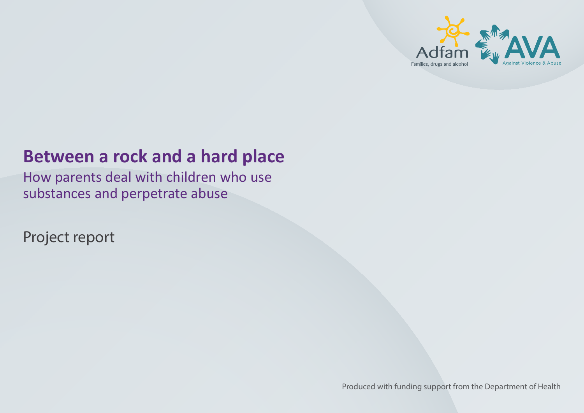

# **Between a rock and a hard place**

How parents deal with children who use substances and perpetrate abuse

Project report

Produced with funding support from the Department of Health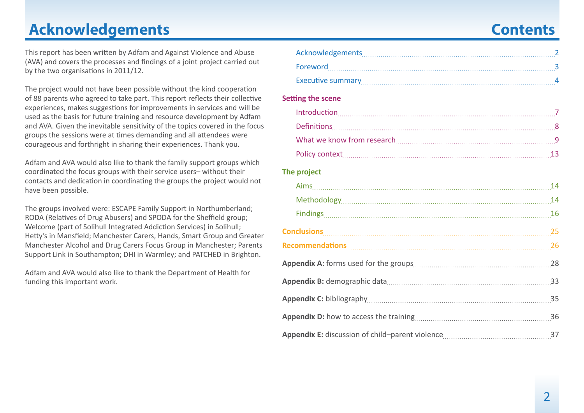# **Acknowledgements Contents**

This report has been written by Adfam and Against Violence and Abuse (AVA) and covers the processes and findings of a joint project carried out by the two organisations in 2011/12.

The project would not have been possible without the kind cooperation of 88 parents who agreed to take part. This report reflects their collective experiences, makes suggestions for improvements in services and will be used as the basis for future training and resource development by Adfam and AVA. Given the inevitable sensitivity of the topics covered in the focus groups the sessions were at times demanding and all attendees were courageous and forthright in sharing their experiences. Thank you.

Adfam and AVA would also like to thank the family support groups which coordinated the focus groups with their service users– without their contacts and dedication in coordinating the groups the project would not have been possible.

The groups involved were: ESCAPE Family Support in Northumberland; RODA (Relatives of Drug Abusers) and SPODA for the Sheffield group; Welcome (part of Solihull Integrated Addiction Services) in Solihull; Hetty's in Mansfield; Manchester Carers, Hands, Smart Group and Greater Manchester Alcohol and Drug Carers Focus Group in Manchester; Parents Support Link in Southampton; DHI in Warmley; and PATCHED in Brighton.

Adfam and AVA would also like to thank the Department of Health for funding this important work.

| <b>Setting the scene</b> |  |
|--------------------------|--|
|                          |  |
|                          |  |
|                          |  |
|                          |  |
| The project              |  |
|                          |  |
|                          |  |
|                          |  |
| Conclusions 25           |  |
|                          |  |
|                          |  |
|                          |  |
|                          |  |
|                          |  |
|                          |  |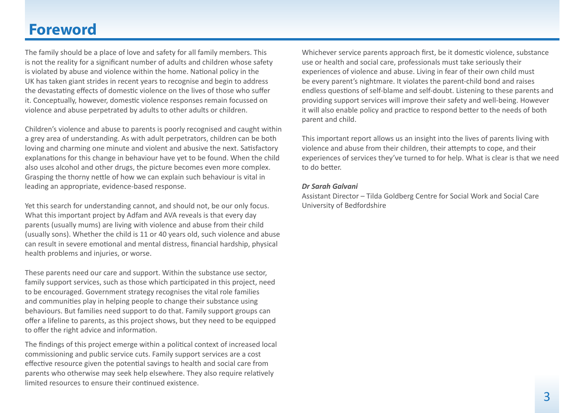# <span id="page-2-0"></span>**Foreword**

The family should be a place of love and safety for all family members. This is not the reality for a significant number of adults and children whose safety is violated by abuse and violence within the home. National policy in the UK has taken giant strides in recent years to recognise and begin to address the devastating effects of domestic violence on the lives of those who suffer it. Conceptually, however, domestic violence responses remain focussed on violence and abuse perpetrated by adults to other adults or children.

Children's violence and abuse to parents is poorly recognised and caught within a grey area of understanding. As with adult perpetrators, children can be both loving and charming one minute and violent and abusive the next. Satisfactory explanations for this change in behaviour have yet to be found. When the child also uses alcohol and other drugs, the picture becomes even more complex. Grasping the thorny nettle of how we can explain such behaviour is vital in leading an appropriate, evidence-based response.

Yet this search for understanding cannot, and should not, be our only focus. What this important project by Adfam and AVA reveals is that every day parents (usually mums) are living with violence and abuse from their child (usually sons). Whether the child is 11 or 40 years old, such violence and abuse can result in severe emotional and mental distress, financial hardship, physical health problems and injuries, or worse.

These parents need our care and support. Within the substance use sector, family support services, such as those which participated in this project, need to be encouraged. Government strategy recognises the vital role families and communities play in helping people to change their substance using behaviours. But families need support to do that. Family support groups can offer a lifeline to parents, as this project shows, but they need to be equipped to offer the right advice and information.

The findings of this project emerge within a political context of increased local commissioning and public service cuts. Family support services are a cost effective resource given the potential savings to health and social care from parents who otherwise may seek help elsewhere. They also require relatively limited resources to ensure their continued existence.

Whichever service parents approach first, be it domestic violence, substance use or health and social care, professionals must take seriously their experiences of violence and abuse. Living in fear of their own child must be every parent's nightmare. It violates the parent-child bond and raises endless questions of self-blame and self-doubt. Listening to these parents and providing support services will improve their safety and well-being. However it will also enable policy and practice to respond better to the needs of both parent and child.

This important report allows us an insight into the lives of parents living with violence and abuse from their children, their attempts to cope, and their experiences of services they've turned to for help. What is clear is that we need to do better.

#### *Dr Sarah Galvani*

Assistant Director – Tilda Goldberg Centre for Social Work and Social Care University of Bedfordshire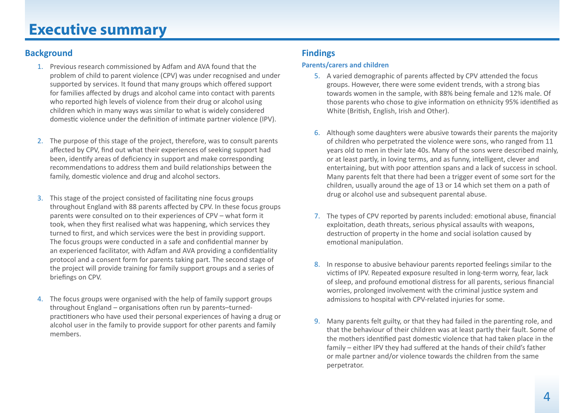# <span id="page-3-0"></span>**Background**

- 1. Previous research commissioned by Adfam and AVA found that the problem of child to parent violence (CPV) was under recognised and under supported by services. It found that many groups which offered support for families affected by drugs and alcohol came into contact with parents who reported high levels of violence from their drug or alcohol using children which in many ways was similar to what is widely considered domestic violence under the definition of intimate partner violence (IPV).
- 2. The purpose of this stage of the project, therefore, was to consult parents affected by CPV, find out what their experiences of seeking support had been, identify areas of deficiency in support and make corresponding recommendations to address them and build relationships between the family, domestic violence and drug and alcohol sectors.
- 3. This stage of the project consisted of facilitating nine focus groups throughout England with 88 parents affected by CPV. In these focus groups parents were consulted on to their experiences of CPV – what form it took, when they first realised what was happening, which services they turned to first, and which services were the best in providing support. The focus groups were conducted in a safe and confidential manner by an experienced facilitator, with Adfam and AVA providing a confidentiality protocol and a consent form for parents taking part. The second stage of the project will provide training for family support groups and a series of briefings on CPV.
- 4. The focus groups were organised with the help of family support groups throughout England – organisations often run by parents–turnedpractitioners who have used their personal experiences of having a drug or alcohol user in the family to provide support for other parents and family members.

# **Findings**

### **Parents/carers and children**

- 5. A varied demographic of parents affected by CPV attended the focus groups. However, there were some evident trends, with a strong bias towards women in the sample, with 88% being female and 12% male. Of those parents who chose to give information on ethnicity 95% identified as White (British, English, Irish and Other).
- 6. Although some daughters were abusive towards their parents the majority of children who perpetrated the violence were sons, who ranged from 11 years old to men in their late 40s. Many of the sons were described mainly, or at least partly, in loving terms, and as funny, intelligent, clever and entertaining, but with poor attention spans and a lack of success in school. Many parents felt that there had been a trigger event of some sort for the children, usually around the age of 13 or 14 which set them on a path of drug or alcohol use and subsequent parental abuse.
- 7. The types of CPV reported by parents included: emotional abuse, financial exploitation, death threats, serious physical assaults with weapons, destruction of property in the home and social isolation caused by emotional manipulation.
- 8. In response to abusive behaviour parents reported feelings similar to the victims of IPV. Repeated exposure resulted in long-term worry, fear, lack of sleep, and profound emotional distress for all parents, serious financial worries, prolonged involvement with the criminal justice system and admissions to hospital with CPV-related injuries for some.
- 9. Many parents felt guilty, or that they had failed in the parenting role, and that the behaviour of their children was at least partly their fault. Some of the mothers identified past domestic violence that had taken place in the family – either IPV they had suffered at the hands of their child's father or male partner and/or violence towards the children from the same perpetrator.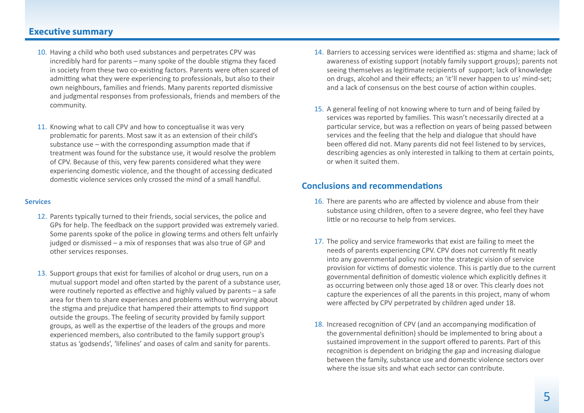## **Executive summary**

- 10. Having a child who both used substances and perpetrates CPV was incredibly hard for parents – many spoke of the double stigma they faced in society from these two co-existing factors. Parents were often scared of admitting what they were experiencing to professionals, but also to their own neighbours, families and friends. Many parents reported dismissive and judgmental responses from professionals, friends and members of the community.
- 11. Knowing what to call CPV and how to conceptualise it was very problematic for parents. Most saw it as an extension of their child's substance use – with the corresponding assumption made that if treatment was found for the substance use, it would resolve the problem of CPV. Because of this, very few parents considered what they were experiencing domestic violence, and the thought of accessing dedicated domestic violence services only crossed the mind of a small handful.

#### **Services**

- 12. Parents typically turned to their friends, social services, the police and GPs for help. The feedback on the support provided was extremely varied. Some parents spoke of the police in glowing terms and others felt unfairly judged or dismissed – a mix of responses that was also true of GP and other services responses.
- 13. Support groups that exist for families of alcohol or drug users, run on a mutual support model and often started by the parent of a substance user, were routinely reported as effective and highly valued by parents – a safe area for them to share experiences and problems without worrying about the stigma and prejudice that hampered their attempts to find support outside the groups. The feeling of security provided by family support groups, as well as the expertise of the leaders of the groups and more experienced members, also contributed to the family support group's status as 'godsends', 'lifelines' and oases of calm and sanity for parents.
- 14. Barriers to accessing services were identified as: stigma and shame; lack of awareness of existing support (notably family support groups); parents not seeing themselves as legitimate recipients of support; lack of knowledge on drugs, alcohol and their effects; an 'it'll never happen to us' mind-set; and a lack of consensus on the best course of action within couples.
- 15. A general feeling of not knowing where to turn and of being failed by services was reported by families. This wasn't necessarily directed at a particular service, but was a reflection on years of being passed between services and the feeling that the help and dialogue that should have been offered did not. Many parents did not feel listened to by services, describing agencies as only interested in talking to them at certain points, or when it suited them.

### **Conclusions and recommendations**

- 16. There are parents who are affected by violence and abuse from their substance using children, often to a severe degree, who feel they have little or no recourse to help from services.
- 17. The policy and service frameworks that exist are failing to meet the needs of parents experiencing CPV. CPV does not currently fit neatly into any governmental policy nor into the strategic vision of service provision for victims of domestic violence. This is partly due to the current governmental definition of domestic violence which explicitly defines it as occurring between only those aged 18 or over. This clearly does not capture the experiences of all the parents in this project, many of whom were affected by CPV perpetrated by children aged under 18.
- 18. Increased recognition of CPV (and an accompanying modification of the governmental definition) should be implemented to bring about a sustained improvement in the support offered to parents. Part of this recognition is dependent on bridging the gap and increasing dialogue between the family, substance use and domestic violence sectors over where the issue sits and what each sector can contribute.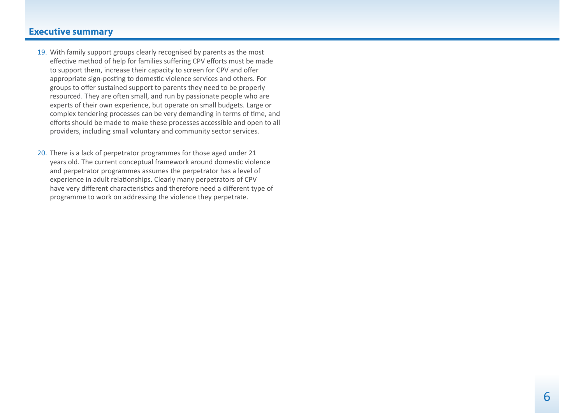## **Executive summary**

- 19. With family support groups clearly recognised by parents as the most effective method of help for families suffering CPV efforts must be made to support them, increase their capacity to screen for CPV and offer appropriate sign-posting to domestic violence services and others. For groups to offer sustained support to parents they need to be properly resourced. They are often small, and run by passionate people who are experts of their own experience, but operate on small budgets. Large or complex tendering processes can be very demanding in terms of time, and efforts should be made to make these processes accessible and open to all providers, including small voluntary and community sector services.
- 20. There is a lack of perpetrator programmes for those aged under 21 years old. The current conceptual framework around domestic violence and perpetrator programmes assumes the perpetrator has a level of experience in adult relationships. Clearly many perpetrators of CPV have very different characteristics and therefore need a different type of programme to work on addressing the violence they perpetrate.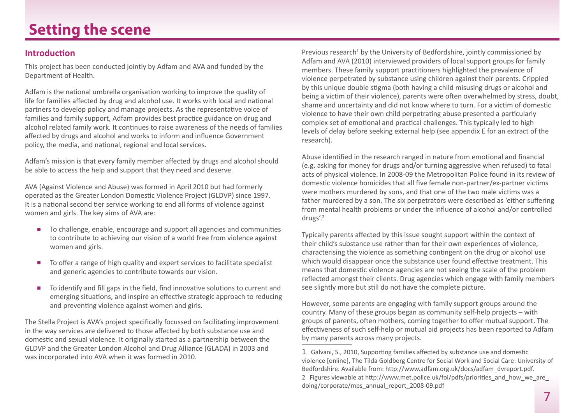# <span id="page-6-0"></span>**Setting the scene**

## **Introduction**

This project has been conducted jointly by Adfam and AVA and funded by the Department of Health.

Adfam is the national umbrella organisation working to improve the quality of life for families affected by drug and alcohol use. It works with local and national partners to develop policy and manage projects. As the representative voice of families and family support, Adfam provides best practice guidance on drug and alcohol related family work. It continues to raise awareness of the needs of families affected by drugs and alcohol and works to inform and influence Government policy, the media, and national, regional and local services.

Adfam's mission is that every family member affected by drugs and alcohol should be able to access the help and support that they need and deserve.

AVA (Against Violence and Abuse) was formed in April 2010 but had formerly operated as the Greater London Domestic Violence Project (GLDVP) since 1997. It is a national second tier service working to end all forms of violence against women and girls. The key aims of AVA are:

- To challenge, enable, encourage and support all agencies and communities to contribute to achieving our vision of a world free from violence against women and girls.
- To offer a range of high quality and expert services to facilitate specialist and generic agencies to contribute towards our vision.
- To identify and fill gaps in the field, find innovative solutions to current and emerging situations, and inspire an effective strategic approach to reducing and preventing violence against women and girls.

The Stella Project is AVA's project specifically focussed on facilitating improvement in the way services are delivered to those affected by both substance use and domestic and sexual violence. It originally started as a partnership between the GLDVP and the Greater London Alcohol and Drug Alliance (GLADA) in 2003 and was incorporated into AVA when it was formed in 2010.

Previous research<sup>1</sup> by the University of Bedfordshire, jointly commissioned by Adfam and AVA (2010) interviewed providers of local support groups for family members. These family support practitioners highlighted the prevalence of violence perpetrated by substance using children against their parents. Crippled by this unique double stigma (both having a child misusing drugs or alcohol and being a victim of their violence), parents were often overwhelmed by stress, doubt, shame and uncertainty and did not know where to turn. For a victim of domestic violence to have their own child perpetrating abuse presented a particularly complex set of emotional and practical challenges. This typically led to high levels of delay before seeking external help (see appendix E for an extract of the research).

Abuse identified in the research ranged in nature from emotional and financial (e.g. asking for money for drugs and/or turning aggressive when refused) to fatal acts of physical violence. In 2008-09 the Metropolitan Police found in its review of domestic violence homicides that all five female non-partner/ex-partner victims were mothers murdered by sons, and that one of the two male victims was a father murdered by a son. The six perpetrators were described as 'either suffering from mental health problems or under the influence of alcohol and/or controlled drugs'.<sup>2</sup>

Typically parents affected by this issue sought support within the context of their child's substance use rather than for their own experiences of violence, characterising the violence as something contingent on the drug or alcohol use which would disappear once the substance user found effective treatment. This means that domestic violence agencies are not seeing the scale of the problem reflected amongst their clients. Drug agencies which engage with family members see slightly more but still do not have the complete picture.

However, some parents are engaging with family support groups around the country. Many of these groups began as community self-help projects – with groups of parents, often mothers, coming together to offer mutual support. The effectiveness of such self-help or mutual aid projects has been reported to Adfam by many parents across many projects.

<sup>1</sup> Galvani, S., 2010, Supporting families affected by substance use and domestic violence [online], The Tilda Goldberg Centre for Social Work and Social Care: University of Bedfordshire. Available from: [http://www.adfam.org.uk/docs/adfam\\_dvreport.pdf.](http://www.adfam.org.uk/docs/adfam_dvreport.pdf) 2   Figures viewable at http://www.met.police.uk/foi/pdfs/priorities\_and\_how\_we\_are\_ doing/corporate/mps\_annual\_report\_2008-09.pdf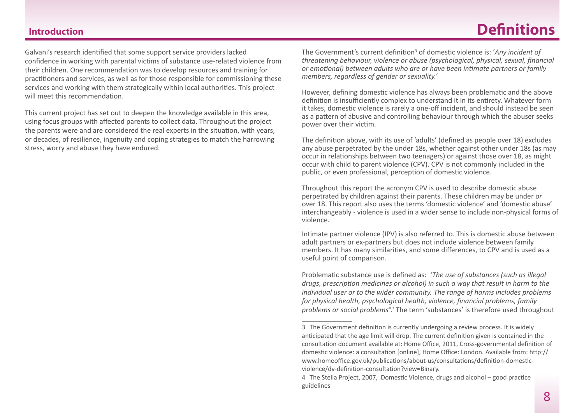<span id="page-7-0"></span>Galvani's research identified that some support service providers lacked confidence in working with parental victims of substance use-related violence from their children. One recommendation was to develop resources and training for practitioners and services, as well as for those responsible for commissioning these services and working with them strategically within local authorities. This project will meet this recommendation.

This current project has set out to deepen the knowledge available in this area, using focus groups with affected parents to collect data. Throughout the project the parents were and are considered the real experts in the situation, with years, or decades, of resilience, ingenuity and coping strategies to match the harrowing stress, worry and abuse they have endured.

The Government's current definition<sup>3</sup> of domestic violence is: '*Any incident of threatening behaviour, violence or abuse (psychological, physical, sexual, financial or emotional) between adults who are or have been intimate partners or family members, regardless of gender or sexuality.'* 

However, defining domestic violence has always been problematic and the above definition is insufficiently complex to understand it in its entirety. Whatever form it takes, domestic violence is rarely a one-off incident, and should instead be seen as a pattern of abusive and controlling behaviour through which the abuser seeks power over their victim.

The definition above, with its use of 'adults' (defined as people over 18) excludes any abuse perpetrated by the under 18s, whether against other under 18s (as may occur in relationships between two teenagers) or against those over 18, as might occur with child to parent violence (CPV). CPV is not commonly included in the public, or even professional, perception of domestic violence.

Throughout this report the acronym CPV is used to describe domestic abuse perpetrated by children against their parents. These children may be under *or* over 18. This report also uses the terms 'domestic violence' and 'domestic abuse' interchangeably - violence is used in a wider sense to include non-physical forms of violence.

Intimate partner violence (IPV) is also referred to. This is domestic abuse between adult partners or ex-partners but does not include violence between family members. It has many similarities, and some differences, to CPV and is used as a useful point of comparison.

Problematic substance use is defined as: *'The use of substances (such as illegal drugs, prescription medicines or alcohol) in such a way that result in harm to the individual user or to the wider community. The range of harms includes problems for physical health, psychological health, violence, financial problems, family*  problems or social problems<sup>4</sup>.' The term 'substances' is therefore used throughout

<sup>3</sup> The Government definition is currently undergoing a review process. It is widely anticipated that the age limit will drop. The current definition given is contained in the consultation document available at: Home Office, 2011, Cross-governmental definition of domestic violence: a consultation [online], Home Office: London. Available from: [http://](http://www.homeoffice.gov.uk/publications/about-us/consultations/definition-domestic-violence/dv-definition-consultation?view=Binary) [www.homeoffice.gov.uk/publications/about-us/consultations/definition-domestic](http://www.homeoffice.gov.uk/publications/about-us/consultations/definition-domestic-violence/dv-definition-consultation?view=Binary)[violence/dv-definition-consultation?view=Binary](http://www.homeoffice.gov.uk/publications/about-us/consultations/definition-domestic-violence/dv-definition-consultation?view=Binary).

<sup>4</sup> The Stella Project, 2007, Domestic Violence, drugs and alcohol – good practice guidelines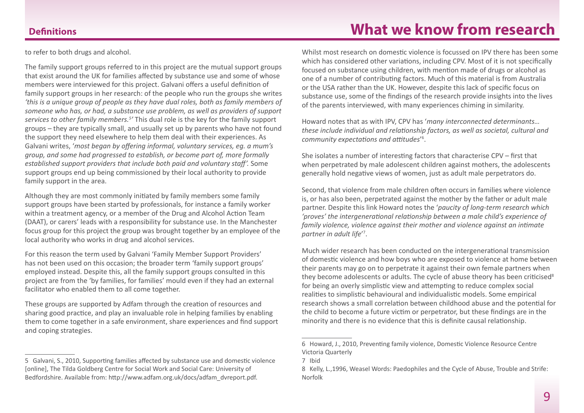to refer to both drugs and alcohol.

The family support groups referred to in this project are the mutual support groups that exist around the UK for families affected by substance use and some of whose members were interviewed for this project. Galvani offers a useful definition of family support groups in her research: of the people who run the groups she writes *'this is a unique group of people as they have dual roles, both as family members of someone who has, or had, a substance use problem, as well as providers of support services to other family members.5 '* This dual role is the key for the family support groups – they are typically small, and usually set up by parents who have not found the support they need elsewhere to help them deal with their experiences. As Galvani writes, '*most began by offering informal, voluntary services, eg. a mum's group, and some had progressed to establish, or become part of, more formally established support providers that include both paid and voluntary staff'.* Some support groups end up being commissioned by their local authority to provide family support in the area.

Although they are most commonly initiated by family members some family support groups have been started by professionals, for instance a family worker within a treatment agency, or a member of the Drug and Alcohol Action Team (DAAT), or carers' leads with a responsibility for substance use. In the Manchester focus group for this project the group was brought together by an employee of the local authority who works in drug and alcohol services.

For this reason the term used by Galvani 'Family Member Support Providers' has not been used on this occasion; the broader term 'family support groups' employed instead. Despite this, all the family support groups consulted in this project are from the 'by families, for families' mould even if they had an external facilitator who enabled them to all come together.

These groups are supported by Adfam through the creation of resources and sharing good practice, and play an invaluable role in helping families by enabling them to come together in a safe environment, share experiences and find support and coping strategies.

Whilst most research on domestic violence is focussed on IPV there has been some which has considered other variations, including CPV. Most of it is not specifically focused on substance using children, with mention made of drugs or alcohol as one of a number of contributing factors. Much of this material is from Australia or the USA rather than the UK. However, despite this lack of specific focus on substance use, some of the findings of the research provide insights into the lives

of the parents interviewed, with many experiences chiming in similarity.

Howard notes that as with IPV, CPV has '*many interconnected determinants… these include individual and relationship factors, as well as societal, cultural and community expectations and attitudes*' 6 .

She isolates a number of interesting factors that characterise CPV – first that when perpetrated by male adolescent children against mothers, the adolescents generally hold negative views of women, just as adult male perpetrators do.

Second, that violence from male children often occurs in families where violence is, or has also been, perpetrated against the mother by the father or adult male partner. Despite this link Howard notes the '*paucity of long-term research which 'proves' the intergenerational relationship between a male child's experience of family violence, violence against their mother and violence against an intimate partner in adult life*' 7 .

Much wider research has been conducted on the intergenerational transmission of domestic violence and how boys who are exposed to violence at home between their parents may go on to perpetrate it against their own female partners when they become adolescents or adults. The cycle of abuse theory has been criticised<sup>8</sup> for being an overly simplistic view and attempting to reduce complex social realities to simplistic behavioural and individualistic models. Some empirical research shows a small correlation between childhood abuse and the potential for the child to become a future victim or perpetrator, but these findings are in the minority and there is no evidence that this is definite causal relationship.

# <span id="page-8-0"></span>**Definitions What we know from research**

<sup>5</sup> Galvani, S., 2010, Supporting families affected by substance use and domestic violence [online], The Tilda Goldberg Centre for Social Work and Social Care: University of Bedfordshire. Available from: [http://www.adfam.org.uk/docs/adfam\\_dvreport.pdf.](http://www.adfam.org.uk/docs/adfam_dvreport.pdf)

<sup>6</sup> Howard, J., 2010, Preventing family violence, Domestic Violence Resource Centre Victoria Quarterly

<sup>7</sup> Ibid

<sup>8</sup> Kelly, L.,1996, Weasel Words: Paedophiles and the Cycle of Abuse, Trouble and Strife: Norfolk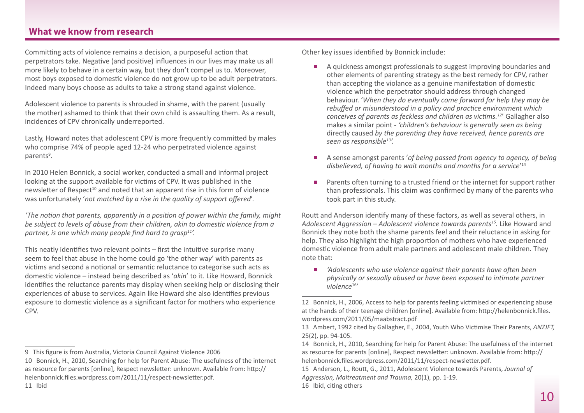# **What we know from research**

Committing acts of violence remains a decision, a purposeful action that perpetrators take. Negative (and positive) influences in our lives may make us all more likely to behave in a certain way, but they don't compel us to. Moreover, most boys exposed to domestic violence do not grow up to be adult perpetrators. Indeed many boys choose as adults to take a strong stand against violence.

Adolescent violence to parents is shrouded in shame, with the parent (usually the mother) ashamed to think that their own child is assaulting them. As a result, incidences of CPV chronically underreported.

Lastly, Howard notes that adolescent CPV is more frequently committed by males who comprise 74% of people aged 12-24 who perpetrated violence against parents<sup>9</sup>.

In 2010 Helen Bonnick, a social worker, conducted a small and informal project looking at the support available for victims of CPV. It was published in the newsletter of Respect<sup>10</sup> and noted that an apparent rise in this form of violence was unfortunately '*not matched by a rise in the quality of support offered*'.

*'The notion that parents, apparently in a position of power within the family, might be subject to levels of abuse from their children, akin to domestic violence from a partner, is one which many people find hard to grasp11'.*

This neatly identifies two relevant points – first the intuitive surprise many seem to feel that abuse in the home could go 'the other wa*y*' with parents as victims and second a notional or semantic reluctance to categorise such acts as domestic violence – instead being described as '*akin*' to it. Like Howard, Bonnick identifies the reluctance parents may display when seeking help or disclosing their experiences of abuse to services. Again like Howard she also identifies previous exposure to domestic violence as a significant factor for mothers who experience CPV.

9   This figure is from Australia, Victoria Council Against Violence 2006

11   Ibid

Other key issues identified by Bonnick include:

- A quickness amongst professionals to suggest improving boundaries and other elements of parenting strategy as the best remedy for CPV, rather than accepting the violance as a genuine manifestation of domestic violence which the perpetrator should address through changed behaviour. '*When they do eventually come forward for help they may be rebuffed or misunderstood in a policy and practice environment which conceives of parents as feckless and children as victims.<sup>12</sup>*' Gallagher also makes a similar point - *'children's behaviour is generally seen as being*  directly caused *by the parenting they have received, hence parents are seen as responsible13'.*
- A sense amongst parents 'of being passed from agency to agency, of being *disbelieved, of having to wait months and months for a service*' 14
- Parents often turning to a trusted friend or the internet for support rather than professionals. This claim was confirmed by many of the parents who took part in this study.

Routt and Anderson identify many of these factors, as well as several others, in *Adolescent Aggression – Adolescent violence towards parents15.* Like Howard and Bonnick they note both the shame parents feel and their reluctance in asking for help. They also highlight the high proportion of mothers who have experienced domestic violence from adult male partners and adolescent male children. They note that:

■ *'Adolescents who use violence against their parents have often been physically or sexually abused or have been exposed to intimate partner violence*16'

<sup>10</sup> Bonnick, H., 2010, Searching for help for Parent Abuse: The usefulness of the internet as resource for parents [online], Respect newsletter: unknown. Available from: [http://](http://helenbonnick.files.wordpress.com/2011/11/respect-newsletter.pdf) [helenbonnick.files.wordpress.com/2011/11/respect-newsletter.pdf](http://helenbonnick.files.wordpress.com/2011/11/respect-newsletter.pdf).

<sup>12</sup> Bonnick, H., 2006, Access to help for parents feeling victimised or experiencing abuse at the hands of their teenage children [online]. Available from: [http://helenbonnick.files.](http://helenbonnick.files.wordpress.com/2011/05/maabstract.pdf) [wordpress.com/2011/05/maabstract.pdf](http://helenbonnick.files.wordpress.com/2011/05/maabstract.pdf)

<sup>13</sup> Ambert, 1992 cited by Gallagher, E., 2004, Youth Who Victimise Their Parents, *ANZJFT,*  25(2), pp. 94-105.

<sup>14</sup> Bonnick, H., 2010, Searching for help for Parent Abuse: The usefulness of the internet as resource for parents [online], Respect newsletter: unknown. Available from: [http://](http://helenbonnick.files.wordpress.com/2011/11/respect-newsletter.pdf) [helenbonnick.files.wordpress.com/2011/11/respect-newsletter.pdf.](http://helenbonnick.files.wordpress.com/2011/11/respect-newsletter.pdf)

<sup>15</sup> Anderson, L., Routt, G., 2011, Adolescent Violence towards Parents, *Journal of Aggression, Maltreatment and Trauma,* 20(1), pp. 1-19.

<sup>16</sup> Ibid, citing others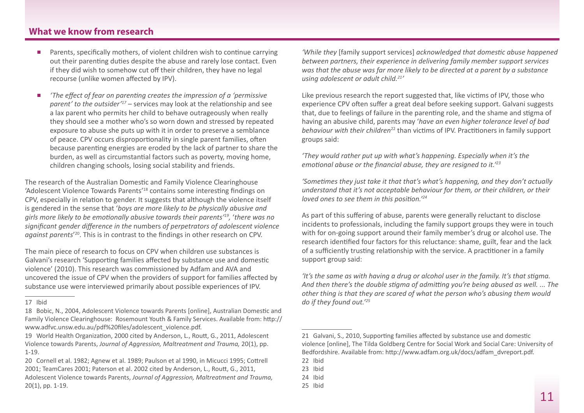# **What we know from research**

- Parents, specifically mothers, of violent children wish to continue carrying out their parenting duties despite the abuse and rarely lose contact. Even if they did wish to somehow cut off their children, they have no legal recourse (unlike women affected by IPV).
- *'The effect of fear on parenting creates the impression of a 'permissive parent' to the outsider'17* – services may look at the relationship and see a lax parent who permits her child to behave outrageously when really they should see a mother who's so worn down and stressed by repeated exposure to abuse she puts up with it in order to preserve a semblance of peace. CPV occurs disproportionality in single parent families, often because parenting energies are eroded by the lack of partner to share the burden, as well as circumstantial factors such as poverty, moving home, children changing schools, losing social stability and friends.

The research of the Australian Domestic and Family Violence Clearinghouse 'Adolescent Violence Towards Parents'18 contains some interesting findings on CPV, especially in relation to gender. It suggests that although the violence itself is gendered in the sense that '*boys are more likely to be physically abusive and girls more likely to be emotionally abusive towards their parents'19,* '*there was no significant gender difference in the* numbers *of perpetrators of adolescent violence against parents*' 20. This is in contrast to the findings in other research on CPV.

The main piece of research to focus on CPV when children use substances is Galvani's research 'Supporting families affected by substance use and domestic violence' (2010). This research was commissioned by Adfam and AVA and uncovered the issue of CPV when the providers of support for families affected by substance use were interviewed primarily about possible experiences of IPV.

*'While they* [family support services] *acknowledged that domestic abuse happened between partners, their experience in delivering family member support services was that the abuse was far more likely to be directed at a parent by a substance using adolescent or adult child.21'*

Like previous research the report suggested that, like victims of IPV, those who experience CPV often suffer a great deal before seeking support. Galvani suggests that, due to feelings of failure in the parenting role, and the shame and stigma of having an abusive child, parents may '*have an even higher tolerance level of bad behaviour with their children*<sup>22</sup> than victims of IPV. Practitioners in family support groups said:

*'They would rather put up with what's happening. Especially when it's the emotional abuse or the financial abuse, they are resigned to it.'<sup>23</sup>*

*'Sometimes they just take it that that's what's happening, and they don't actually understand that it's not acceptable behaviour for them, or their children, or their loved ones to see them in this position.'<sup>24</sup>*

As part of this suffering of abuse, parents were generally reluctant to disclose incidents to professionals, including the family support groups they were in touch with for on-going support around their family member's drug or alcohol use. The research identified four factors for this reluctance: shame, guilt, fear and the lack of a sufficiently trusting relationship with the service. A practitioner in a family support group said:

*'It's the same as with having a drug or alcohol user in the family. It's that stigma. And then there's the double stigma of admitting you're being abused as well. ... The other thing is that they are scared of what the person who's abusing them would do if they found out.'25*

<sup>17</sup> Ibid

<sup>18</sup> Bobic, N., 2004, Adolescent Violence towards Parents [online], Australian Domestic and Family Violence Clearinghouse: Rosemount Youth & Family Services. Available from: [http://](http://www.adfvc.unsw.edu.au/pdf%20files/adolescent_violence.pdf) [www.adfvc.unsw.edu.au/pdf%20files/adolescent\\_violence.pdf](http://www.adfvc.unsw.edu.au/pdf%20files/adolescent_violence.pdf).

<sup>19</sup> World Health Organization, 2000 cited by Anderson, L., Routt, G., 2011, Adolescent Violence towards Parents, *Journal of Aggression, Maltreatment and Trauma,* 20(1), pp. 1-19.

<sup>20</sup> Cornell et al. 1982; Agnew et al. 1989; Paulson et al 1990, in Micucci 1995; Cottrell 2001; TeamCares 2001; Paterson et al. 2002 cited by Anderson, L., Routt, G., 2011, Adolescent Violence towards Parents, *Journal of Aggression, Maltreatment and Trauma,* 20(1), pp. 1-19.

<sup>21</sup> Galvani, S., 2010, Supporting families affected by substance use and domestic violence [online], The Tilda Goldberg Centre for Social Work and Social Care: University of Bedfordshire. Available from: [http://www.adfam.org.uk/docs/adfam\\_dvreport.pdf.](http://www.adfam.org.uk/docs/adfam_dvreport.pdf)

<sup>22</sup> Ibid

<sup>23</sup> Ibid

<sup>24</sup> Ibid

<sup>25</sup> Ibid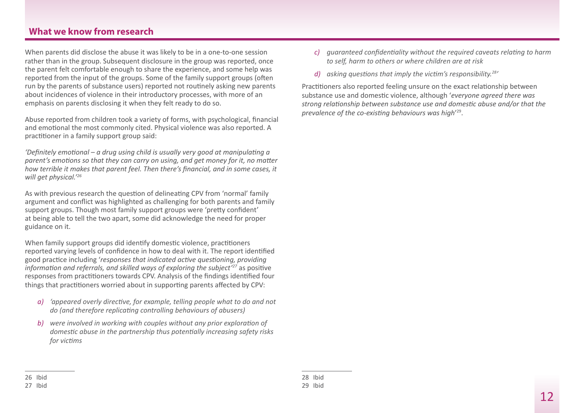# **What we know from research**

When parents did disclose the abuse it was likely to be in a one-to-one session rather than in the group. Subsequent disclosure in the group was reported, once the parent felt comfortable enough to share the experience, and some help was reported from the input of the groups. Some of the family support groups (often run by the parents of substance users) reported not routinely asking new parents about incidences of violence in their introductory processes, with more of an emphasis on parents disclosing it when they felt ready to do so.

Abuse reported from children took a variety of forms, with psychological, financial and emotional the most commonly cited. Physical violence was also reported. A practitioner in a family support group said:

*'Definitely emotional – a drug using child is usually very good at manipulating a parent's emotions so that they can carry on using, and get money for it, no matter how terrible it makes that parent feel. Then there's financial, and in some cases, it will get physical.'<sup>26</sup>*

As with previous research the question of delineating CPV from 'normal' family argument and conflict was highlighted as challenging for both parents and family support groups. Though most family support groups were 'pretty confident' at being able to tell the two apart, some did acknowledge the need for proper guidance on it.

When family support groups did identify domestic violence, practitioners reported varying levels of confidence in how to deal with it. The report identified good practice including '*responses that indicated active questioning, providing information and referrals, and skilled ways of exploring the subject'<sup>27</sup>* as positive responses from practitioners towards CPV. Analysis of the findings identified four things that practitioners worried about in supporting parents affected by CPV:

- *a) 'appeared overly directive, for example, telling people what to do and not do (and therefore replicating controlling behaviours of abusers)*
- *b) were involved in working with couples without any prior exploration of domestic abuse in the partnership thus potentially increasing safety risks for victims*
- *c) guaranteed confidentiality without the required caveats relating to harm to self, harm to others or where children are at risk*
- *d) asking questions that imply the victim's responsibility.28'*

Practitioners also reported feeling unsure on the exact relationship between substance use and domestic violence, although '*everyone agreed there was strong relationship between substance use and domestic abuse and/or that the prevalence of the co-existing behaviours was high*' <sup>29</sup>.

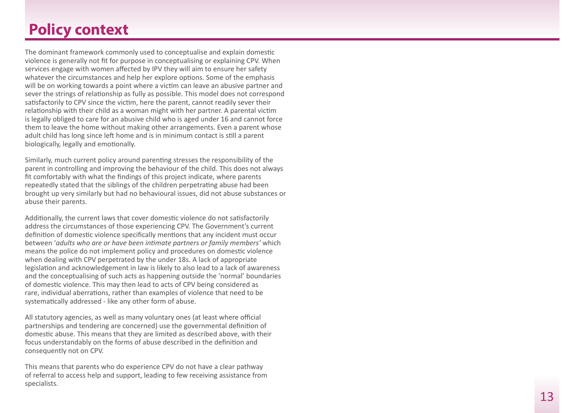# <span id="page-12-0"></span>**Policy context**

The dominant framework commonly used to conceptualise and explain domestic violence is generally not fit for purpose in conceptualising or explaining CPV. When services engage with women affected by IPV they will aim to ensure her safety whatever the circumstances and help her explore options. Some of the emphasis will be on working towards a point where a victim can leave an abusive partner and sever the strings of relationship as fully as possible. This model does not correspond satisfactorily to CPV since the victim, here the parent, cannot readily sever their relationship with their child as a woman might with her partner. A parental victim is legally obliged to care for an abusive child who is aged under 16 and cannot force them to leave the home without making other arrangements. Even a parent whose adult child has long since left home and is in minimum contact is still a parent biologically, legally and emotionally.

Similarly, much current policy around parenting stresses the responsibility of the parent in controlling and improving the behaviour of the child. This does not always fit comfortably with what the findings of this project indicate, where parents repeatedly stated that the siblings of the children perpetrating abuse had been brought up very similarly but had no behavioural issues, did not abuse substances or abuse their parents.

Additionally, the current laws that cover domestic violence do not satisfactorily address the circumstances of those experiencing CPV. The Government's current definition of domestic violence specifically mentions that any incident must occur between '*adults who are or have been intimate partners or family members'* which means the police do not implement policy and procedures on domestic violence when dealing with CPV perpetrated by the under 18s. A lack of appropriate legislation and acknowledgement in law is likely to also lead to a lack of awareness and the conceptualising of such acts as happening outside the 'normal' boundaries of domestic violence. This may then lead to acts of CPV being considered as rare, individual aberrations, rather than examples of violence that need to be systematically addressed - like any other form of abuse.

All statutory agencies, as well as many voluntary ones (at least where official partnerships and tendering are concerned) use the governmental definition of domestic abuse. This means that they are limited as described above, with their focus understandably on the forms of abuse described in the definition and consequently not on CPV.

This means that parents who do experience CPV do not have a clear pathway of referral to access help and support, leading to few receiving assistance from specialists.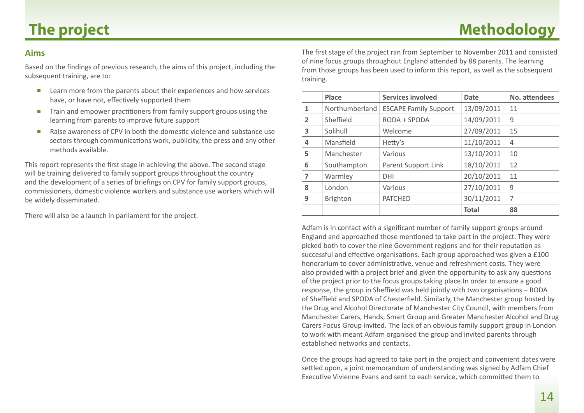### <span id="page-13-0"></span>**Aims**

Based on the findings of previous research, the aims of this project, including the subsequent training, are to:

- Learn more from the parents about their experiences and how services have, or have not, effectively supported them
- Train and empower practitioners from family support groups using the learning from parents to improve future support
- Raise awareness of CPV in both the domestic violence and substance use sectors through communications work, publicity, the press and any other methods available.

This report represents the first stage in achieving the above. The second stage will be training delivered to family support groups throughout the country and the development of a series of briefings on CPV for family support groups, commissioners, domestic violence workers and substance use workers which will be widely disseminated.

There will also be a launch in parliament for the project.

The first stage of the project ran from September to November 2011 and consisted of nine focus groups throughout England attended by 88 parents. The learning from those groups has been used to inform this report, as well as the subsequent training.

|                | Place           | <b>Services involved</b>     | <b>Date</b>  | No. attendees  |
|----------------|-----------------|------------------------------|--------------|----------------|
| 1              | Northumberland  | <b>ESCAPE Family Support</b> | 13/09/2011   | 11             |
| $\overline{2}$ | Sheffield       | RODA + SPODA                 | 14/09/2011   | 9              |
| 3              | Solihull        | Welcome                      | 27/09/2011   | 15             |
| 4              | Mansfield       | Hetty's                      | 11/10/2011   | $\overline{4}$ |
| 5              | Manchester      | Various                      | 13/10/2011   | 10             |
| 6              | Southampton     | Parent Support Link          | 18/10/2011   | 12             |
| $\overline{7}$ | Warmley         | <b>DHI</b>                   | 20/10/2011   | 11             |
| 8              | London          | Various                      | 27/10/2011   | 9              |
| 9              | <b>Brighton</b> | <b>PATCHED</b>               | 30/11/2011   | $\overline{7}$ |
|                |                 |                              | <b>Total</b> | 88             |

Adfam is in contact with a significant number of family support groups around England and approached those mentioned to take part in the project. They were picked both to cover the nine Government regions and for their reputation as successful and effective organisations. Each group approached was given a £100 honorarium to cover administrative, venue and refreshment costs. They were also provided with a project brief and given the opportunity to ask any questions of the project prior to the focus groups taking place.In order to ensure a good response, the group in Sheffield was held jointly with two organisations – RODA of Sheffield and SPODA of Chesterfield. Similarly, the Manchester group hosted by the Drug and Alcohol Directorate of Manchester City Council, with members from Manchester Carers, Hands, Smart Group and Greater Manchester Alcohol and Drug Carers Focus Group invited. The lack of an obvious family support group in London to work with meant Adfam organised the group and invited parents through established networks and contacts.

Once the groups had agreed to take part in the project and convenient dates were settled upon, a joint memorandum of understanding was signed by Adfam Chief Executive Vivienne Evans and sent to each service, which committed them to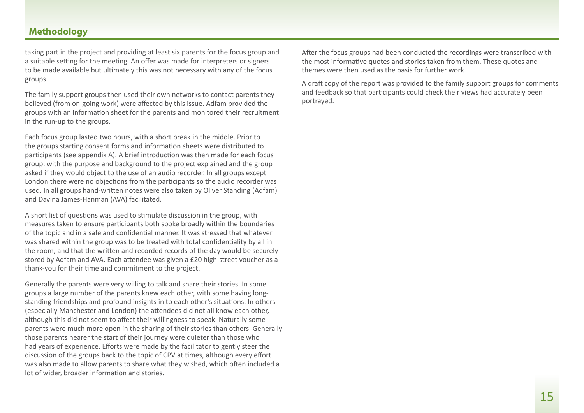## **Methodology**

taking part in the project and providing at least six parents for the focus group and a suitable setting for the meeting. An offer was made for interpreters or signers to be made available but ultimately this was not necessary with any of the focus groups.

The family support groups then used their own networks to contact parents they believed (from on-going work) were affected by this issue. Adfam provided the groups with an information sheet for the parents and monitored their recruitment in the run-up to the groups.

Each focus group lasted two hours, with a short break in the middle. Prior to the groups starting consent forms and information sheets were distributed to participants (see appendix A). A brief introduction was then made for each focus group, with the purpose and background to the project explained and the group asked if they would object to the use of an audio recorder. In all groups except London there were no objections from the participants so the audio recorder was used. In all groups hand-written notes were also taken by Oliver Standing (Adfam) and Davina James-Hanman (AVA) facilitated.

A short list of questions was used to stimulate discussion in the group, with measures taken to ensure participants both spoke broadly within the boundaries of the topic and in a safe and confidential manner. It was stressed that whatever was shared within the group was to be treated with total confidentiality by all in the room, and that the written and recorded records of the day would be securely stored by Adfam and AVA. Each attendee was given a £20 high-street voucher as a thank-you for their time and commitment to the project.

Generally the parents were very willing to talk and share their stories. In some groups a large number of the parents knew each other, with some having longstanding friendships and profound insights in to each other's situations. In others (especially Manchester and London) the attendees did not all know each other, although this did not seem to affect their willingness to speak. Naturally some parents were much more open in the sharing of their stories than others. Generally those parents nearer the start of their journey were quieter than those who had years of experience. Efforts were made by the facilitator to gently steer the discussion of the groups back to the topic of CPV at times, although every effort was also made to allow parents to share what they wished, which often included a lot of wider, broader information and stories.

After the focus groups had been conducted the recordings were transcribed with the most informative quotes and stories taken from them. These quotes and themes were then used as the basis for further work.

A draft copy of the report was provided to the family support groups for comments and feedback so that participants could check their views had accurately been portrayed.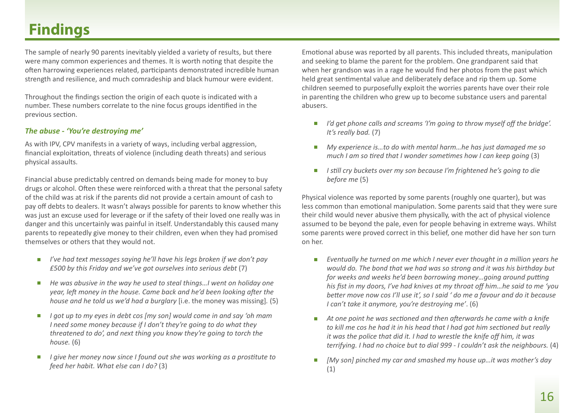<span id="page-15-0"></span>The sample of nearly 90 parents inevitably yielded a variety of results, but there were many common experiences and themes. It is worth noting that despite the often harrowing experiences related, participants demonstrated incredible human strength and resilience, and much comradeship and black humour were evident.

Throughout the findings section the origin of each quote is indicated with a number. These numbers correlate to the nine focus groups identified in the previous section.

### *The abuse - 'You're destroying me'*

As with IPV, CPV manifests in a variety of ways, including verbal aggression, financial exploitation, threats of violence (including death threats) and serious physical assaults.

Financial abuse predictably centred on demands being made for money to buy drugs or alcohol. Often these were reinforced with a threat that the personal safety of the child was at risk if the parents did not provide a certain amount of cash to pay off debts to dealers. It wasn't always possible for parents to know whether this was just an excuse used for leverage or if the safety of their loved one really was in danger and this uncertainly was painful in itself. Understandably this caused many parents to repeatedly give money to their children, even when they had promised themselves or others that they would not.

- *▪ I've had text messages saying he'll have his legs broken if we don't pay £500 by this Friday and we've got ourselves into serious debt* (7)
- *▪ He was abusive in the way he used to steal things…I went on holiday one year, left money in the house. Came back and he'd been looking after the house and he told us we'd had a burglary* [i.e. the money was missing]*.* (5)
- *I got up to my eyes in debt cos [my son] would come in and say 'oh mam I need some money because if I don't they're going to do what they threatened to do', and next thing you know they're going to torch the house.* (6)
- *I give her money now since I found out she was working as a prostitute to feed her habit. What else can I do?* (3)

Emotional abuse was reported by all parents. This included threats, manipulation and seeking to blame the parent for the problem. One grandparent said that when her grandson was in a rage he would find her photos from the past which held great sentimental value and deliberately deface and rip them up. Some children seemed to purposefully exploit the worries parents have over their role in parenting the children who grew up to become substance users and parental abusers.

- *I'd get phone calls and screams 'I'm going to throw myself off the bridge'. It's really bad.* (7)
- *▪ My experience is…to do with mental harm…he has just damaged me so much I am so tired that I wonder sometimes how I can keep going (3)*
- *▪ I still cry buckets over my son because I'm frightened he's going to die before me* (5)

Physical violence was reported by some parents (roughly one quarter), but was less common than emotional manipulation. Some parents said that they were sure their child would never abusive them physically, with the act of physical violence assumed to be beyond the pale, even for people behaving in extreme ways. Whilst some parents were proved correct in this belief, one mother did have her son turn on her.

- *▪ Eventually he turned on me which I never ever thought in a million years he would do. The bond that we had was so strong and it was his birthday but for weeks and weeks he'd been borrowing money…going around putting his fist in my doors, I've had knives at my throat off him…he said to me 'you better move now cos I'll use it', so I said ' do me a favour and do it because I can't take it anymore, you're destroying me'*. (6)
- At one point he was sectioned and then afterwards he came with a knife *to kill me cos he had it in his head that I had got him sectioned but really it was the police that did it. I had to wrestle the knife off him, it was terrifying. I had no choice but to dial 999 - I couldn't ask the neighbours.* (4)
- *▪ [My son] pinched my car and smashed my house up…it was mother's day* (1)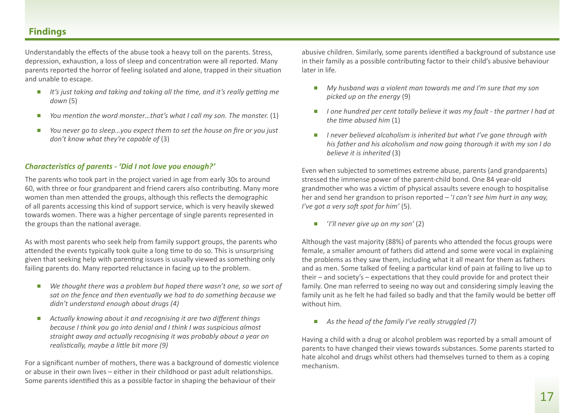Understandably the effects of the abuse took a heavy toll on the parents. Stress, depression, exhaustion, a loss of sleep and concentration were all reported. Many parents reported the horror of feeling isolated and alone, trapped in their situation and unable to escape.

- *It's just taking and taking and taking all the time, and it's really getting me down* (5)
- *You mention the word monster...that's what I call my son. The monster.* (1)
- *▪ You never go to sleep…you expect them to set the house on fire or you just don't know what they're capable of* (3)

### *Characteristics of parents - 'Did I not love you enough?'*

The parents who took part in the project varied in age from early 30s to around 60, with three or four grandparent and friend carers also contributing. Many more women than men attended the groups, although this reflects the demographic of all parents accessing this kind of support service, which is very heavily skewed towards women. There was a higher percentage of single parents represented in the groups than the national average.

As with most parents who seek help from family support groups, the parents who attended the events typically took quite a long time to do so. This is unsurprising given that seeking help with parenting issues is usually viewed as something only failing parents do. Many reported reluctance in facing up to the problem.

- *We thought there was a problem but hoped there wasn't one, so we sort of sat on the fence and then eventually we had to do something because we didn't understand enough about drugs (4)*
- *Actually knowing about it and recognising it are two different things because I think you go into denial and I think I was suspicious almost straight away and actually recognising it was probably about a year on realistically, maybe a little bit more (9)*

For a significant number of mothers, there was a background of domestic violence or abuse in their own lives – either in their childhood or past adult relationships. Some parents identified this as a possible factor in shaping the behaviour of their

abusive children. Similarly, some parents identified a background of substance use in their family as a possible contributing factor to their child's abusive behaviour later in life.

- *▪ My husband was a violent man towards me and I'm sure that my son picked up on the energy* (9)
- *▪ I one hundred per cent totally believe it was my fault the partner I had at the time abused him* (1)
- *I never believed alcoholism is inherited but what I've gone through with his father and his alcoholism and now going thorough it with my son I do believe it is inherited* (3)

Even when subjected to sometimes extreme abuse, parents (and grandparents) stressed the immense power of the parent-child bond. One 84 year-old grandmother who was a victim of physical assaults severe enough to hospitalise her and send her grandson to prison reported – '*I can't see him hurt in any way, I've got a very soft spot for him'* (5).

*▪* '*I'll never give up on my son'* (2)

Although the vast majority (88%) of parents who attended the focus groups were female, a smaller amount of fathers did attend and some were vocal in explaining the problems as they saw them, including what it all meant for them as fathers and as men. Some talked of feeling a particular kind of pain at failing to live up to their – and society's – expectations that they could provide for and protect their family. One man referred to seeing no way out and considering simply leaving the family unit as he felt he had failed so badly and that the family would be better off without him.

*▪ As the head of the family I've really struggled (7)*

Having a child with a drug or alcohol problem was reported by a small amount of parents to have changed their views towards substances. Some parents started to hate alcohol and drugs whilst others had themselves turned to them as a coping mechanism.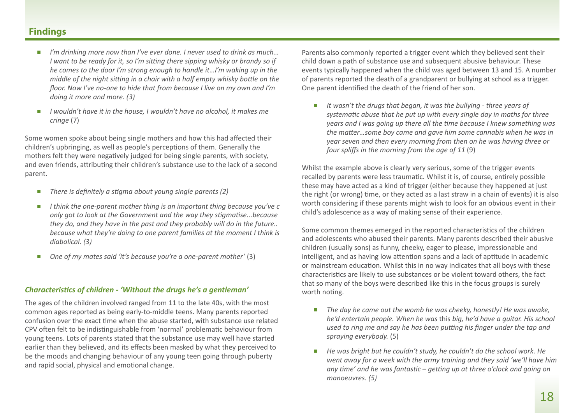- *I'm drinking more now than I've ever done. I never used to drink as much... I want to be ready for it, so I'm sitting there sipping whisky or brandy so if he comes to the door I'm strong enough to handle it…I'm waking up in the middle of the night sitting in a chair with a half empty whisky bottle on the floor. Now I've no-one to hide that from because I live on my own and I'm doing it more and more. (3)*
- *▪ I wouldn't have it in the house, I wouldn't have no alcohol, it makes me cringe* (7)

Some women spoke about being single mothers and how this had affected their children's upbringing, as well as people's perceptions of them. Generally the mothers felt they were negatively judged for being single parents, with society, and even friends, attributing their children's substance use to the lack of a second parent.

- *▪ There is definitely a stigma about young single parents (2)*
- *I think the one-parent mother thing is an important thing because you've c only got to look at the Government and the way they stigmatise...because they do, and they have in the past and they probably will do in the future.. because what they're doing to one parent families at the moment I think is diabolical. (3)*
- *▪ One of my mates said 'it's because you're a one-parent mother'* (3)

#### *Characteristics of children - 'Without the drugs he's a gentleman'*

The ages of the children involved ranged from 11 to the late 40s, with the most common ages reported as being early-to-middle teens. Many parents reported confusion over the exact time when the abuse started, with substance use related CPV often felt to be indistinguishable from 'normal' problematic behaviour from young teens. Lots of parents stated that the substance use may well have started earlier than they believed, and its effects been masked by what they perceived to be the moods and changing behaviour of any young teen going through puberty and rapid social, physical and emotional change.

Parents also commonly reported a trigger event which they believed sent their child down a path of substance use and subsequent abusive behaviour. These events typically happened when the child was aged between 13 and 15. A number of parents reported the death of a grandparent or bullying at school as a trigger. One parent identified the death of the friend of her son.

■ *It wasn't the drugs that began, it was the bullying - three years of systematic abuse that he put up with every single day in maths for three years and I was going up there all the time because I knew something was the matter…some boy came and gave him some cannabis when he was in year seven and then every morning from then on he was having three or four spliffs in the morning from the age of 11* (9)

Whilst the example above is clearly very serious, some of the trigger events recalled by parents were less traumatic. Whilst it is, of course, entirely possible these may have acted as a kind of trigger (either because they happened at just the right (or wrong) time, or they acted as a last straw in a chain of events) it is also worth considering if these parents might wish to look for an obvious event in their child's adolescence as a way of making sense of their experience.

Some common themes emerged in the reported characteristics of the children and adolescents who abused their parents. Many parents described their abusive children (usually sons) as funny, cheeky, eager to please, impressionable and intelligent, and as having low attention spans and a lack of aptitude in academic or mainstream education. Whilst this in no way indicates that all boys with these characteristics are likely to use substances or be violent toward others, the fact that so many of the boys were described like this in the focus groups is surely worth noting.

- The day he came out the womb he was cheeky, honestly! He was awake, *he'd entertain people. When he was* this *big, he'd have a guitar. His school used to ring me and say he has been putting his finger under the tap and spraying everybody.* (5)
- *▪ He was bright but he couldn't study, he couldn't do the school work. He went away for a week with the army training and they said 'we'll have him any time' and he was fantastic – getting up at three o'clock and going on manoeuvres. (5)*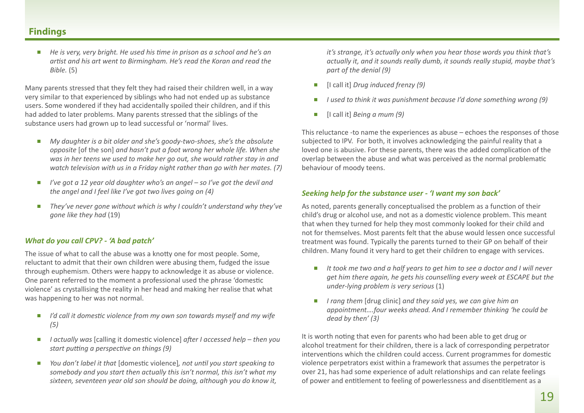*▪ He is very, very bright. He used his time in prison as a school and he's an artist and his art went to Birmingham. He's read the Koran and read the Bible.* (5)

Many parents stressed that they felt they had raised their children well, in a way very similar to that experienced by siblings who had not ended up as substance users. Some wondered if they had accidentally spoiled their children, and if this had added to later problems. Many parents stressed that the siblings of the substance users had grown up to lead successful or 'normal' lives.

- *▪ My daughter is a bit older and she's goody-two-shoes, she's the absolute opposite* [of the son] *and hasn't put a foot wrong her whole life. When she was in her teens we used to make her go out, she would rather stay in and watch television with us in a Friday night rather than go with her mates. (7)*
- *I've got a 12 year old daughter who's an angel so I've got the devil and the angel and I feel like I've got two lives going on (4)*
- *They've never gone without which is why I couldn't understand why they've gone like they had* (19)

#### *What do you call CPV? - 'A bad patch'*

The issue of what to call the abuse was a knotty one for most people. Some, reluctant to admit that their own children were abusing them, fudged the issue through euphemism. Others were happy to acknowledge it as abuse or violence. One parent referred to the moment a professional used the phrase 'domestic violence' as crystallising the reality in her head and making her realise that what was happening to her was not normal.

- *▪ I'd call it domestic violence from my own son towards myself and my wife (5)*
- *I actually was* [calling it domestic violence] after *I accessed help then you start putting a perspective on things (9)*
- *▪ You don't label it that* [domestic violence]*, not until you start speaking to somebody and you start then actually this isn't normal, this isn't what my sixteen, seventeen year old son should be doing, although you do know it,*

*it's strange, it's actually only when you hear those words you think that's actually it, and it sounds really dumb, it sounds really stupid, maybe that's part of the denial (9)*

- *▪* [I call it] *Drug induced frenzy (9)*
- *▪ I used to think it was punishment because I'd done something wrong (9)*
- *▪* [I call it] *Being a mum (9)*

This reluctance -to name the experiences as abuse – echoes the responses of those subjected to IPV. For both, it involves acknowledging the painful reality that a loved one is abusive. For these parents, there was the added complication of the overlap between the abuse and what was perceived as the normal problematic behaviour of moody teens.

#### *Seeking help for the substance user - 'I want my son back'*

As noted, parents generally conceptualised the problem as a function of their child's drug or alcohol use, and not as a domestic violence problem. This meant that when they turned for help they most commonly looked for their child and not for themselves. Most parents felt that the abuse would lessen once successful treatment was found. Typically the parents turned to their GP on behalf of their children. Many found it very hard to get their children to engage with services.

- It took me two and a half years to get him to see a doctor and I will never *get him there again, he gets his counselling every week at ESCAPE but the under-lying problem is very serious* (1)
- *▪ I rang them* [drug clinic] *and they said yes, we can give him an appointment….four weeks ahead. And I remember thinking 'he could be dead by then' (3)*

It is worth noting that even for parents who had been able to get drug or alcohol treatment for their children, there is a lack of corresponding perpetrator interventions which the children could access. Current programmes for domestic violence perpetrators exist within a framework that assumes the perpetrator is over 21, has had some experience of adult relationships and can relate feelings of power and entitlement to feeling of powerlessness and disentitlement as a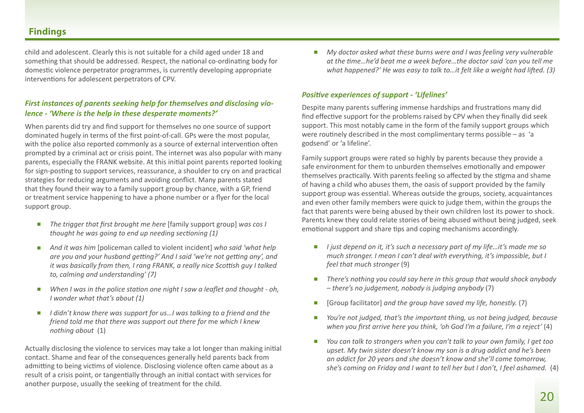child and adolescent. Clearly this is not suitable for a child aged under 18 and something that should be addressed. Respect, the national co-ordinating body for domestic violence perpetrator programmes, is currently developing appropriate interventions for adolescent perpetrators of CPV.

### *First instances of parents seeking help for themselves and disclosing violence - 'Where is the help in these desperate moments?'*

When parents did try and find support for themselves no one source of support dominated hugely in terms of the first point-of-call. GPs were the most popular, with the police also reported commonly as a source of external intervention often prompted by a criminal act or crisis point. The internet was also popular with many parents, especially the FRANK website. At this initial point parents reported looking for sign-posting to support services, reassurance, a shoulder to cry on and practical strategies for reducing arguments and avoiding conflict. Many parents stated that they found their way to a family support group by chance, with a GP, friend or treatment service happening to have a phone number or a flyer for the local support group.

- *▪ The trigger that first brought me here* [family support group] *was cos I thought he was going to end up needing sectioning (1)*
- *And it was him* [policeman called to violent incident] *who said 'what help are you and your husband getting?' And I said 'we're not getting any', and it was basically from then, I rang FRANK, a really nice Scottish guy I talked to, calming and understanding' (7)*
- *When I was in the police station one night I saw a leaflet and thought oh, I wonder what that's about (1)*
- *▪ I didn't know there was support for us…I was talking to a friend and the friend told me that there was support out there for* me *which I knew nothing about* (1)

Actually disclosing the violence to services may take a lot longer than making initial contact. Shame and fear of the consequences generally held parents back from admitting to being victims of violence. Disclosing violence often came about as a result of a crisis point, or tangentially through an initial contact with services for another purpose, usually the seeking of treatment for the child.

*My doctor asked what these burns were and I was feeling very vulnerable at the time…he'd beat me a week before…the doctor said 'can you tell me what happened?' He was easy to talk to…it felt like a weight had lifted. (3)*

### *Positive experiences of support - 'Lifelines'*

Despite many parents suffering immense hardships and frustrations many did find effective support for the problems raised by CPV when they finally did seek support. This most notably came in the form of the family support groups which were routinely described in the most complimentary terms possible – as 'a godsend' or 'a lifeline'.

Family support groups were rated so highly by parents because they provide a safe environment for them to unburden themselves emotionally and empower themselves practically. With parents feeling so affected by the stigma and shame of having a child who abuses them, the oasis of support provided by the family support group was essential. Whereas outside the groups, society, acquaintances and even other family members were quick to judge them, within the groups the fact that parents were being abused by their own children lost its power to shock. Parents knew they could relate stories of being abused without being judged, seek emotional support and share tips and coping mechanisms accordingly.

- *▪ I just depend on it, it's such a necessary part of my life…it's made me so much stronger. I mean I can't deal with everything, it's impossible, but I feel that much stronger* (9)
- *▪ There's nothing you could say here in this group that would shock anybody – there's no judgement, nobody is judging anybody* (7)
- *▪* [Group facilitator] *and the group have saved my life, honestly.* (7)
- *You're not judged, that's the important thing, us not being judged, because when you first arrive here you think, 'oh God I'm a failure, I'm a reject'* (4)
- *▪ You can talk to strangers when you can't talk to your own family, I get too upset. My twin sister doesn't know my son is a drug addict and he's been an addict for 20 years and she doesn't know and she'll come tomorrow, she's coming on Friday and I want to tell her but I don't, I feel ashamed.* (4)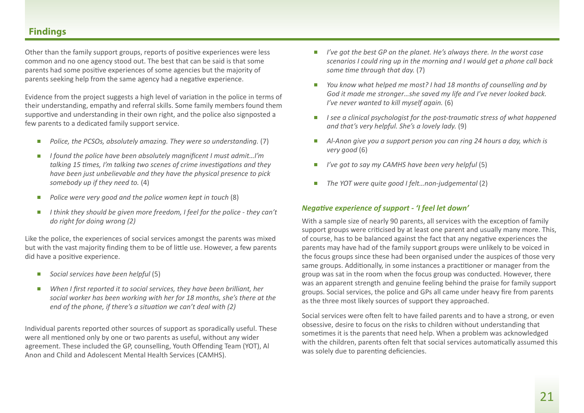Other than the family support groups, reports of positive experiences were less common and no one agency stood out. The best that can be said is that some parents had some positive experiences of some agencies but the majority of parents seeking help from the same agency had a negative experience.

Evidence from the project suggests a high level of variation in the police in terms of their understanding, empathy and referral skills. Some family members found them supportive and understanding in their own right, and the police also signposted a few parents to a dedicated family support service.

- *Police, the PCSOs, absolutely amazing. They were so understanding.* (7)
- *I found the police have been absolutely magnificent I must admit...I'm talking 15 times, I'm talking two scenes of crime investigations and they have been just unbelievable and they have the physical presence to pick somebody up if they need to.* (4)
- *Police were very good and the police women kept in touch* (8)
- *I think they should be given more freedom, I feel for the police they can't do right for doing wrong (2)*

Like the police, the experiences of social services amongst the parents was mixed but with the vast majority finding them to be of little use. However, a few parents did have a positive experience.

- *▪ Social services have been helpful* (5)
- *When I first reported it to social services, they have been brilliant, her social worker has been working with her for 18 months, she's there at the end of the phone, if there's a situation we can't deal with (2)*

Individual parents reported other sources of support as sporadically useful. These were all mentioned only by one or two parents as useful, without any wider agreement. These included the GP, counselling, Youth Offending Team (YOT), Al Anon and Child and Adolescent Mental Health Services (CAMHS).

- *I've got the best GP on the planet. He's always there. In the worst case scenarios I could ring up in the morning and I would get a phone call back some time through that day.* (7)
- *▪ You know what helped me most? I had 18 months of counselling and by God it made me stronger…she saved my life and I've never looked back. I've never wanted to kill myself again.* (6)
- *▪ I see a clinical psychologist for the post-traumatic stress of what happened and that's very helpful. She's a lovely lady.* (9)
- *▪ Al-Anon give you a support person you can ring 24 hours a day, which is very good* (6)
- *▪ I've got to say my CAMHS have been very helpful* (5)
- *The YOT were quite good I felt...non-judgemental* (2)

#### *Negative experience of support - 'I feel let down'*

With a sample size of nearly 90 parents, all services with the exception of family support groups were criticised by at least one parent and usually many more. This, of course, has to be balanced against the fact that any negative experiences the parents may have had of the family support groups were unlikely to be voiced in the focus groups since these had been organised under the auspices of those very same groups. Additionally, in some instances a practitioner or manager from the group was sat in the room when the focus group was conducted. However, there was an apparent strength and genuine feeling behind the praise for family support groups. Social services, the police and GPs all came under heavy fire from parents as the three most likely sources of support they approached.

Social services were often felt to have failed parents and to have a strong, or even obsessive, desire to focus on the risks to children without understanding that sometimes it is the parents that need help. When a problem was acknowledged with the children, parents often felt that social services automatically assumed this was solely due to parenting deficiencies.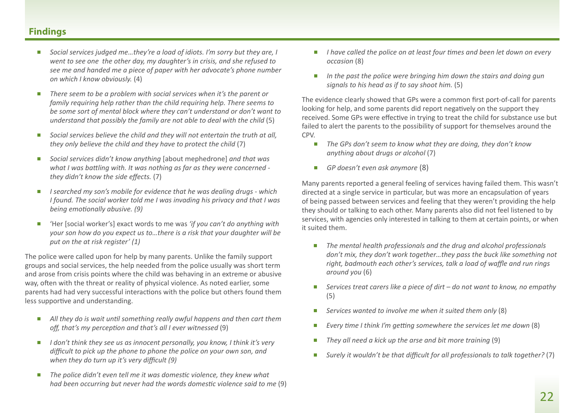- *▪ Social services judged me…they're a load of idiots. I'm sorry but they are, I went to see one the other day, my daughter's in crisis, and she refused to see me and handed me a piece of paper with her advocate's phone number on which I know obviously.* (4)
- There seem to be a problem with social services when it's the parent or *family requiring help rather than the child requiring help. There seems to be some sort of mental block where they can't understand or don't want to understand that possibly the family are not able to deal with the child* (5)
- Social services believe the child and they will not entertain the truth at all, *they only believe the child and they have to protect the child* (7)
- *▪ Social services didn't know anything* [about mephedrone] *and that was what I was battling with. It was nothing as far as they were concerned they didn't know the side effects.* (7)
- *▪ I searched my son's mobile for evidence that he was dealing drugs which I found. The social worker told me I was invading his privacy and that I was being emotionally abusive. (9)*
- *▪* 'Her [social worker's] exact words to me was *'if you can't do anything with your son how do you expect us to…there is a risk that your daughter will be put on the at risk register' (1)*

The police were called upon for help by many parents. Unlike the family support groups and social services, the help needed from the police usually was short term and arose from crisis points where the child was behaving in an extreme or abusive way, often with the threat or reality of physical violence. As noted earlier, some parents had had very successful interactions with the police but others found them less supportive and understanding.

- *All they do is wait until something really awful happens and then cart them off, that's my perception and that's all I ever witnessed* (9)
- *▪ I don't think they see us as innocent personally, you know, I think it's very difficult to pick up the phone to phone the police on your own son, and when they do turn up it's very difficult (9)*
- The police didn't even tell me it was domestic violence, they knew what *had been occurring but never had the words domestic violence said to me* (9)
- *I have called the police on at least four times and been let down on every occasion* (8)
- *In the past the police were bringing him down the stairs and doing gun signals to his head as if to say shoot him.* (5)

The evidence clearly showed that GPs were a common first port-of-call for parents looking for help, and some parents did report negatively on the support they received. Some GPs were effective in trying to treat the child for substance use but failed to alert the parents to the possibility of support for themselves around the CPV.

- *▪ The GPs don't seem to know what they are doing, they don't know anything about drugs or alcohol* (7)
- *▪ GP doesn't even ask anymore* (8)

Many parents reported a general feeling of services having failed them. This wasn't directed at a single service in particular, but was more an encapsulation of years of being passed between services and feeling that they weren't providing the help they should or talking to each other. Many parents also did not feel listened to by services, with agencies only interested in talking to them at certain points, or when it suited them.

- *▪ The mental health professionals and the drug and alcohol professionals don't mix, they don't work together…they pass the buck like something not right, badmouth each other's services, talk a load of waffle and run rings around you* (6)
- *▪ Services treat carers like a piece of dirt do not want to know, no empathy* (5)
- *▪ Services wanted to involve me when it suited them only* (8)
- *Every time I think I'm getting somewhere the services let me down* (8)
- *▪ They all need a kick up the arse and bit more training* (9)
- *▪ Surely it wouldn't be that difficult for all professionals to talk together?* (7)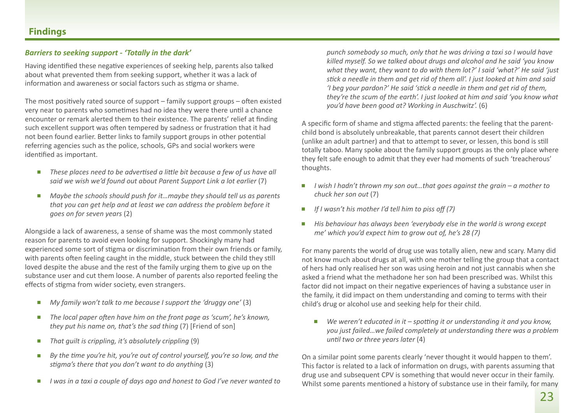#### *Barriers to seeking support - 'Totally in the dark'*

Having identified these negative experiences of seeking help, parents also talked about what prevented them from seeking support, whether it was a lack of information and awareness or social factors such as stigma or shame.

The most positively rated source of support – family support groups – often existed very near to parents who sometimes had no idea they were there until a chance encounter or remark alerted them to their existence. The parents' relief at finding such excellent support was often tempered by sadness or frustration that it had not been found earlier. Better links to family support groups in other potential referring agencies such as the police, schools, GPs and social workers were identified as important.

- These places need to be advertised a little bit because a few of us have all *said we wish we'd found out about Parent Support Link a lot earlier* (7)
- *▪ Maybe the schools should push for it…maybe they should tell us as parents that you can get help and at least we can address the problem before it goes on for seven years* (2)

Alongside a lack of awareness, a sense of shame was the most commonly stated reason for parents to avoid even looking for support. Shockingly many had experienced some sort of stigma or discrimination from their own friends or family, with parents often feeling caught in the middle, stuck between the child they still loved despite the abuse and the rest of the family urging them to give up on the substance user and cut them loose. A number of parents also reported feeling the effects of stigma from wider society, even strangers.

- *My family won't talk to me because I support the 'druggy one'* (3)
- The local paper often have him on the front page as 'scum', he's known, *they put his name on, that's the sad thing* (7) [Friend of son]
- *▪ That guilt is crippling, it's absolutely crippling* (9)
- By the time you're hit, you're out of control yourself, you're so low, and the *stigma's there that you don't want to do anything* (3)
- *I was in a taxi a couple of days ago and honest to God I've never wanted to*

*punch somebody so much, only that he was driving a taxi so I would have killed myself. So we talked about drugs and alcohol and he said 'you know what they want, they want to do with them lot?' I said 'what?' He said 'just stick a needle in them and get rid of them all'. I just looked at him and said 'I beg your pardon?' He said 'stick a needle in them and get rid of them, they're the scum of the earth'. I just looked at him and said 'you know what you'd have been good at? Working in Auschwitz'.* (6)

A specific form of shame and stigma affected parents: the feeling that the parentchild bond is absolutely unbreakable, that parents cannot desert their children (unlike an adult partner) and that to attempt to sever, or lessen, this bond is still totally taboo. Many spoke about the family support groups as the only place where they felt safe enough to admit that they ever had moments of such 'treacherous' thoughts.

- *I wish I hadn't thrown my son out...that goes against the grain a mother to chuck her son out* (7)
- *▪ If I wasn't his mother I'd tell him to piss off (7)*
- His behaviour has always been 'everybody else in the world is wrong except *me' which you'd expect him to grow out of, he's 28 (7)*

For many parents the world of drug use was totally alien, new and scary. Many did not know much about drugs at all, with one mother telling the group that a contact of hers had only realised her son was using heroin and not just cannabis when she asked a friend what the methadone her son had been prescribed was. Whilst this factor did not impact on their negative experiences of having a substance user in the family, it did impact on them understanding and coming to terms with their child's drug or alcohol use and seeking help for their child.

■ *We weren't educated in it – spotting it or understanding it and you know. you just failed…we failed completely at understanding there was a problem until two or three years later* (4)

On a similar point some parents clearly 'never thought it would happen to them'. This factor is related to a lack of information on drugs, with parents assuming that drug use and subsequent CPV is something that would never occur in their family. Whilst some parents mentioned a history of substance use in their family, for many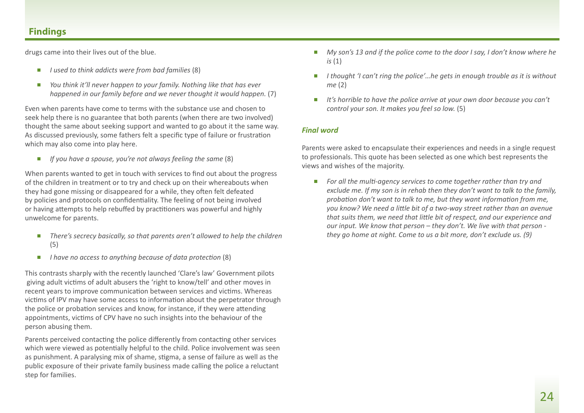drugs came into their lives out of the blue.

- *▪ I used to think addicts were from bad families* (8)
- *You think it'll never happen to your family. Nothing like that has ever happened in our family before and we never thought it would happen.* (7)

Even when parents have come to terms with the substance use and chosen to seek help there is no guarantee that both parents (when there are two involved) thought the same about seeking support and wanted to go about it the same way. As discussed previously, some fathers felt a specific type of failure or frustration which may also come into play here.

*▪ If you have a spouse, you're not always feeling the same* (8)

When parents wanted to get in touch with services to find out about the progress of the children in treatment or to try and check up on their whereabouts when they had gone missing or disappeared for a while, they often felt defeated by policies and protocols on confidentiality. The feeling of not being involved or having attempts to help rebuffed by practitioners was powerful and highly unwelcome for parents.

- *▪ There's secrecy basically, so that parents aren't allowed to help the children* (5)
- *▪ I have no access to anything because of data protection* (8)

This contrasts sharply with the recently launched 'Clare's law' Government pilots giving adult victims of adult abusers the 'right to know/tell' and other moves in recent years to improve communication between services and victims. Whereas victims of IPV may have some access to information about the perpetrator through the police or probation services and know, for instance, if they were attending appointments, victims of CPV have no such insights into the behaviour of the person abusing them.

Parents perceived contacting the police differently from contacting other services which were viewed as potentially helpful to the child. Police involvement was seen as punishment. A paralysing mix of shame, stigma, a sense of failure as well as the public exposure of their private family business made calling the police a reluctant step for families.

- *My son's 13 and if the police come to the door I say, I don't know where he is* (1)
- *I thought 'I can't ring the police'…he gets in enough trouble as it is without me* (2)
- It's horrible to have the police arrive at your own door because you can't *control your son. It makes you feel so low.* (5)

### *Final word*

Parents were asked to encapsulate their experiences and needs in a single request to professionals. This quote has been selected as one which best represents the views and wishes of the majority.

*▪ For all the multi-agency services to come together rather than try and exclude me. If my son is in rehab then they don't want to talk to the family, probation don't want to talk to me, but they want information from me, you know? We need a little bit of a two-way street rather than an avenue that suits them, we need that little bit of respect, and our experience and our input. We know that person – they don't. We live with that person they go home at night. Come to us a bit more, don't exclude us. (9)*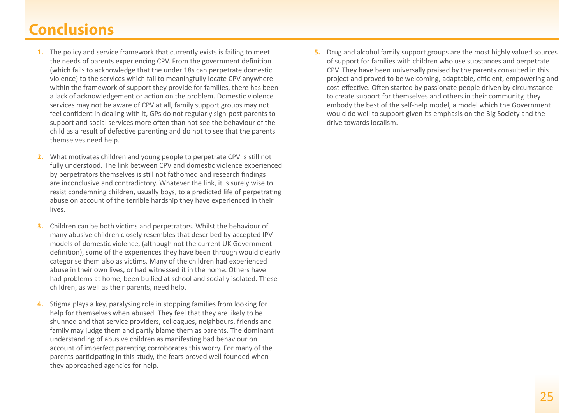# <span id="page-24-0"></span>**Conclusions**

- **1.** The policy and service framework that currently exists is failing to meet the needs of parents experiencing CPV. From the government definition (which fails to acknowledge that the under 18s can perpetrate domestic violence) to the services which fail to meaningfully locate CPV anywhere within the framework of support they provide for families, there has been a lack of acknowledgement or action on the problem. Domestic violence services may not be aware of CPV at all, family support groups may not feel confident in dealing with it, GPs do not regularly sign-post parents to support and social services more often than not see the behaviour of the child as a result of defective parenting and do not to see that the parents themselves need help.
- **2.** What motivates children and young people to perpetrate CPV is still not fully understood. The link between CPV and domestic violence experienced by perpetrators themselves is still not fathomed and research findings are inconclusive and contradictory. Whatever the link, it is surely wise to resist condemning children, usually boys, to a predicted life of perpetrating abuse on account of the terrible hardship they have experienced in their lives.
- **3.** Children can be both victims and perpetrators. Whilst the behaviour of many abusive children closely resembles that described by accepted IPV models of domestic violence, (although not the current UK Government definition), some of the experiences they have been through would clearly categorise them also as victims. Many of the children had experienced abuse in their own lives, or had witnessed it in the home. Others have had problems at home, been bullied at school and socially isolated. These children, as well as their parents, need help.
- **4.** Stigma plays a key, paralysing role in stopping families from looking for help for themselves when abused. They feel that they are likely to be shunned and that service providers, colleagues, neighbours, friends and family may judge them and partly blame them as parents. The dominant understanding of abusive children as manifesting bad behaviour on account of imperfect parenting corroborates this worry. For many of the parents participating in this study, the fears proved well-founded when they approached agencies for help.

**5.** Drug and alcohol family support groups are the most highly valued sources of support for families with children who use substances and perpetrate CPV. They have been universally praised by the parents consulted in this project and proved to be welcoming, adaptable, efficient, empowering and cost-effective. Often started by passionate people driven by circumstance to create support for themselves and others in their community, they embody the best of the self-help model, a model which the Government would do well to support given its emphasis on the Big Society and the drive towards localism.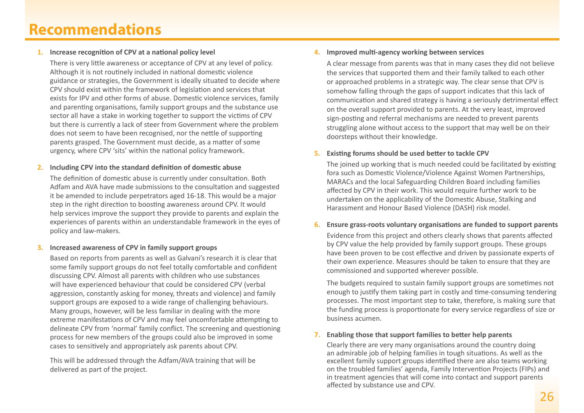# <span id="page-25-0"></span>**Recommendations**

#### **1. Increase recognition of CPV at a national policy level**

There is very little awareness or acceptance of CPV at any level of policy. Although it is not routinely included in national domestic violence guidance or strategies, the Government is ideally situated to decide where CPV should exist within the framework of legislation and services that exists for IPV and other forms of abuse. Domestic violence services, family and parenting organisations, family support groups and the substance use sector all have a stake in working together to support the victims of CPV but there is currently a lack of steer from Government where the problem does not seem to have been recognised, nor the nettle of supporting parents grasped. The Government must decide, as a matter of some urgency, where CPV 'sits' within the national policy framework.

### **2. Including CPV into the standard definition of domestic abuse**

The definition of domestic abuse is currently under consultation. Both Adfam and AVA have made submissions to the consultation and suggested it be amended to include perpetrators aged 16-18. This would be a major step in the right direction to boosting awareness around CPV. It would help services improve the support they provide to parents and explain the experiences of parents within an understandable framework in the eyes of policy and law-makers.

### **3. Increased awareness of CPV in family support groups**

Based on reports from parents as well as Galvani's research it is clear that some family support groups do not feel totally comfortable and confident discussing CPV. Almost all parents with children who use substances will have experienced behaviour that could be considered CPV (verbal aggression, constantly asking for money, threats and violence) and family support groups are exposed to a wide range of challenging behaviours. Many groups, however, will be less familiar in dealing with the more extreme manifestations of CPV and may feel uncomfortable attempting to delineate CPV from 'normal' family conflict. The screening and questioning process for new members of the groups could also be improved in some cases to sensitively and appropriately ask parents about CPV.

This will be addressed through the Adfam/AVA training that will be delivered as part of the project.

### **4. Improved multi-agency working between services**

A clear message from parents was that in many cases they did not believe the services that supported them and their family talked to each other or approached problems in a strategic way. The clear sense that CPV is somehow falling through the gaps of support indicates that this lack of communication and shared strategy is having a seriously detrimental effect on the overall support provided to parents. At the very least, improved sign-posting and referral mechanisms are needed to prevent parents struggling alone without access to the support that may well be on their doorsteps without their knowledge.

### **5. Existing forums should be used better to tackle CPV**

The joined up working that is much needed could be facilitated by existing fora such as Domestic Violence/Violence Against Women Partnerships, MARACs and the local Safeguarding Children Board including families affected by CPV in their work. This would require further work to be undertaken on the applicability of the Domestic Abuse, Stalking and Harassment and Honour Based Violence (DASH) risk model.

#### **6. Ensure grass-roots voluntary organisations are funded to support parents**

Evidence from this project and others clearly shows that parents affected by CPV value the help provided by family support groups. These groups have been proven to be cost effective and driven by passionate experts of their own experience. Measures should be taken to ensure that they are commissioned and supported wherever possible.

The budgets required to sustain family support groups are sometimes not enough to justify them taking part in costly and time-consuming tendering processes. The most important step to take, therefore, is making sure that the funding process is proportionate for every service regardless of size or business acumen.

#### **7. Enabling those that support families to better help parents**

Clearly there are very many organisations around the country doing an admirable job of helping families in tough situations. As well as the excellent family support groups identified there are also teams working on the troubled families' agenda, Family Intervention Projects (FIPs) and in treatment agencies that will come into contact and support parents affected by substance use and CPV.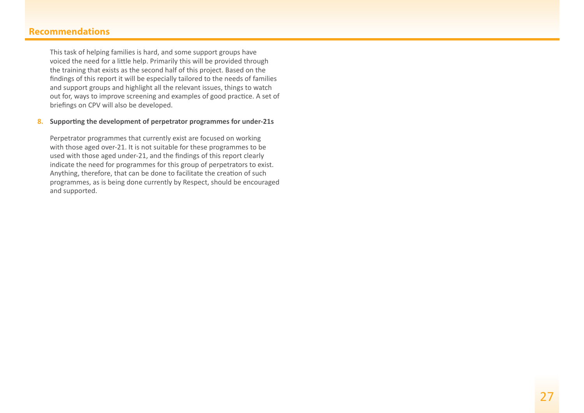## **Recommendations**

This task of helping families is hard, and some support groups have voiced the need for a little help. Primarily this will be provided through the training that exists as the second half of this project. Based on the findings of this report it will be especially tailored to the needs of families and support groups and highlight all the relevant issues, things to watch out for, ways to improve screening and examples of good practice. A set of briefings on CPV will also be developed.

#### **8. Supporting the development of perpetrator programmes for under-21s**

Perpetrator programmes that currently exist are focused on working with those aged over-21. It is not suitable for these programmes to be used with those aged under-21, and the findings of this report clearly indicate the need for programmes for this group of perpetrators to exist. Anything, therefore, that can be done to facilitate the creation of such programmes, as is being done currently by Respect, should be encouraged and supported.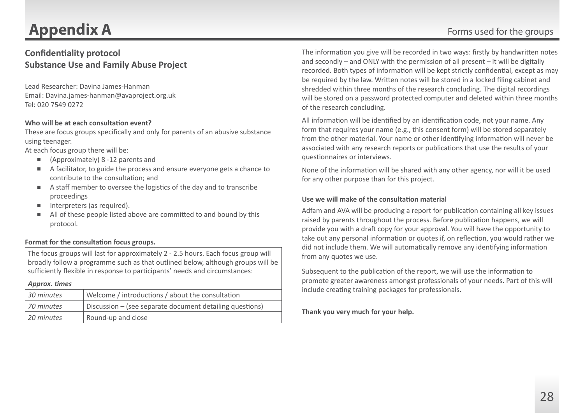# <span id="page-27-0"></span>**Appendix A** Forms used for the groups

# **Confidentiality protocol Substance Use and Family Abuse Project**

Lead Researcher: Davina James-Hanman Email: [Davina.james-hanman@avaproject.org.uk](mailto:Davina.james-hanman@avaproject.org.uk) Tel: 020 7549 0272

#### **Who will be at each consultation event?**

These are focus groups specifically and only for parents of an abusive substance using teenager.

At each focus group there will be:

- (Approximately) 8 -12 parents and
- A facilitator, to guide the process and ensure everyone gets a chance to contribute to the consultation; and
- A staff member to oversee the logistics of the day and to transcribe proceedings
- $\blacksquare$  Interpreters (as required).
- All of these people listed above are committed to and bound by this protocol.

#### **Format for the consultation focus groups.**

The focus groups will last for approximately 2 - 2.5 hours. Each focus group will broadly follow a programme such as that outlined below, although groups will be sufficiently flexible in response to participants' needs and circumstances:

#### *Approx. times*

| 30 minutes | Welcome / introductions / about the consultation         |
|------------|----------------------------------------------------------|
| 70 minutes | Discussion – (see separate document detailing questions) |
| 20 minutes | Round-up and close                                       |

The information you give will be recorded in two ways: firstly by handwritten notes and secondly – and ONLY with the permission of all present – it will be digitally recorded. Both types of information will be kept strictly confidential, except as may be required by the law. Written notes will be stored in a locked filing cabinet and shredded within three months of the research concluding. The digital recordings will be stored on a password protected computer and deleted within three months of the research concluding.

All information will be identified by an identification code, not your name. Any form that requires your name (e.g., this consent form) will be stored separately from the other material. Your name or other identifying information will never be associated with any research reports or publications that use the results of your questionnaires or interviews.

None of the information will be shared with any other agency, nor will it be used for any other purpose than for this project.

### **Use we will make of the consultation material**

Adfam and AVA will be producing a report for publication containing all key issues raised by parents throughout the process. Before publication happens, we will provide you with a draft copy for your approval. You will have the opportunity to take out any personal information or quotes if, on reflection, you would rather we did not include them. We will automatically remove any identifying information from any quotes we use.

Subsequent to the publication of the report, we will use the information to promote greater awareness amongst professionals of your needs. Part of this will include creating training packages for professionals.

**Thank you very much for your help.**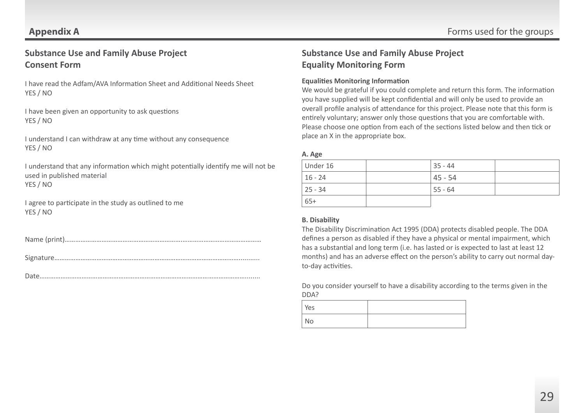# **Substance Use and Family Abuse Project Consent Form**

I have read the Adfam/AVA Information Sheet and Additional Needs Sheet YES / NO

I have been given an opportunity to ask questions YES / NO

I understand I can withdraw at any time without any consequence YES / NO

I understand that any information which might potentially identify me will not be used in published material YES / NO

I agree to participate in the study as outlined to me YES / NO

|--|

|--|--|

Date………………………………………………………………………………………………………........

# **Substance Use and Family Abuse Project Equality Monitoring Form**

#### **Equalities Monitoring Information**

We would be grateful if you could complete and return this form. The information you have supplied will be kept confidential and will only be used to provide an overall profile analysis of attendance for this project. Please note that this form is entirely voluntary; answer only those questions that you are comfortable with. Please choose one option from each of the sections listed below and then tick or place an X in the appropriate box.

#### **A. Age**

| Under 16  | 35 - 44 |  |
|-----------|---------|--|
| $16 - 24$ | 45 - 54 |  |
| $25 - 34$ | 55 - 64 |  |
| $65+$     |         |  |

#### **B. Disability**

The Disability Discrimination Act 1995 (DDA) protects disabled people. The DDA defines a person as disabled if they have a physical or mental impairment, which has a substantial and long term (i.e. has lasted or is expected to last at least 12 months) and has an adverse effect on the person's ability to carry out normal dayto-day activities.

Do you consider yourself to have a disability according to the terms given in the DDA?

| <b>Yes</b> |  |
|------------|--|
| No         |  |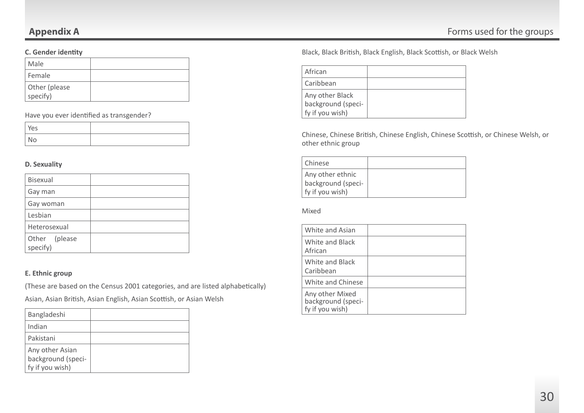### **C. Gender identity**

| Male                      |  |
|---------------------------|--|
| l Female                  |  |
| Other (please<br>specify) |  |

Have you ever identified as transgender?

| Yes |  |
|-----|--|
| No  |  |

#### **D. Sexuality**

| <b>Bisexual</b>           |  |
|---------------------------|--|
| Gay man                   |  |
| Gay woman                 |  |
| Lesbian                   |  |
| Heterosexual              |  |
| Other (please<br>specify) |  |

#### **E. Ethnic group**

(These are based on the Census 2001 categories, and are listed alphabetically)

Asian, Asian British, Asian English, Asian Scottish, or Asian Welsh

| Bangladeshi                                              |  |
|----------------------------------------------------------|--|
| Indian                                                   |  |
| Pakistani                                                |  |
| Any other Asian<br>background (speci-<br>fy if you wish) |  |

Black, Black British, Black English, Black Scottish, or Black Welsh

| African                                                  |  |
|----------------------------------------------------------|--|
| Caribbean                                                |  |
| Any other Black<br>background (speci-<br>fy if you wish) |  |

Chinese, Chinese British, Chinese English, Chinese Scottish, or Chinese Welsh, or other ethnic group

| l Chinese                                                 |  |
|-----------------------------------------------------------|--|
| Any other ethnic<br>background (speci-<br>fy if you wish) |  |

#### Mixed

| White and Asian                                          |  |
|----------------------------------------------------------|--|
| White and Black<br>African                               |  |
| White and Black<br>Caribbean                             |  |
| White and Chinese                                        |  |
| Any other Mixed<br>background (speci-<br>fy if you wish) |  |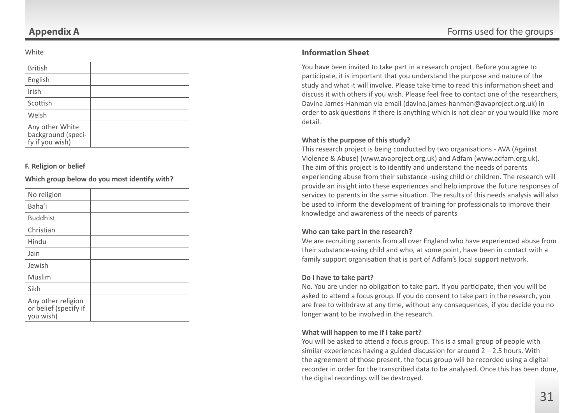#### **White**

| <b>British</b>                                           |  |
|----------------------------------------------------------|--|
| English                                                  |  |
| Irish                                                    |  |
| Scottish                                                 |  |
| Welsh                                                    |  |
| Any other White<br>background (speci-<br>fy if you wish) |  |

#### **F. Religion or belief**

**Which group below do you most identify with?**

| No religion                                              |  |
|----------------------------------------------------------|--|
| Baha'i                                                   |  |
| <b>Buddhist</b>                                          |  |
| Christian                                                |  |
| Hindu                                                    |  |
| Jain                                                     |  |
| Jewish                                                   |  |
| Muslim                                                   |  |
| Sikh                                                     |  |
| Any other religion<br>or belief (specify if<br>you wish) |  |

### **Information Sheet**

You have been invited to take part in a research project. Before you agree to participate, it is important that you understand the purpose and nature of the study and what it will involve. Please take time to read this information sheet and discuss it with others if you wish. Please feel free to contact one of the researchers, Davina James-Hanman via email ([davina.james-hanman@avaproject.org.uk\)](mailto:davina.james-hanman@avaproject.org.uk) in order to ask questions if there is anything which is not clear or you would like more detail.

#### **What is the purpose of this study?**

This research project is being conducted by two organisations - AVA (Against Violence & Abuse) ([www.avaproject.org.uk\)](http://www.avaproject.org.uk) and Adfam ([www.adfam.org.uk\)](http://www.adfam.org.uk). The aim of this project is to identify and understand the needs of parents experiencing abuse from their substance -using child or children. The research will provide an insight into these experiences and help improve the future responses of services to parents in the same situation. The results of this needs analysis will also be used to inform the development of training for professionals to improve their knowledge and awareness of the needs of parents

#### **Who can take part in the research?**

We are recruiting parents from all over England who have experienced abuse from their substance-using child and who, at some point, have been in contact with a family support organisation that is part of Adfam's local support network.

#### **Do I have to take part?**

No. You are under no obligation to take part. If you participate, then you will be asked to attend a focus group. If you do consent to take part in the research, you are free to withdraw at any time, without any consequences, if you decide you no longer want to be involved in the research.

#### **What will happen to me if I take part?**

You will be asked to attend a focus group. This is a small group of people with similar experiences having a guided discussion for around 2 – 2.5 hours. With the agreement of those present, the focus group will be recorded using a digital recorder in order for the transcribed data to be analysed. Once this has been done, the digital recordings will be destroyed.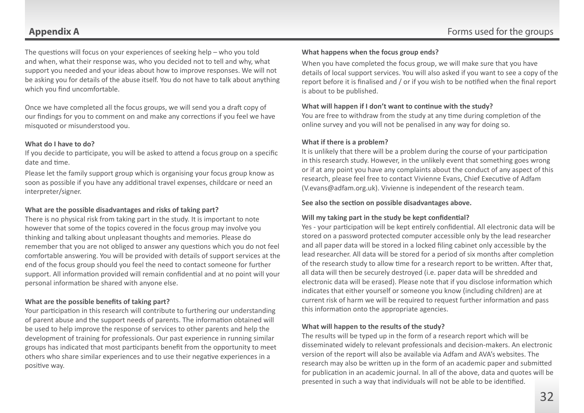The questions will focus on your experiences of seeking help – who you told and when, what their response was, who you decided not to tell and why, what support you needed and your ideas about how to improve responses. We will not be asking you for details of the abuse itself. You do not have to talk about anything which you find uncomfortable.

Once we have completed all the focus groups, we will send you a draft copy of our findings for you to comment on and make any corrections if you feel we have misquoted or misunderstood you.

#### **What do I have to do?**

If you decide to participate, you will be asked to attend a focus group on a specific date and time.

Please let the family support group which is organising your focus group know as soon as possible if you have any additional travel expenses, childcare or need an interpreter/signer.

#### **What are the possible disadvantages and risks of taking part?**

There is no physical risk from taking part in the study. It is important to note however that some of the topics covered in the focus group may involve you thinking and talking about unpleasant thoughts and memories. Please do remember that you are not obliged to answer any questions which you do not feel comfortable answering. You will be provided with details of support services at the end of the focus group should you feel the need to contact someone for further support. All information provided will remain confidential and at no point will your personal information be shared with anyone else.

#### **What are the possible benefits of taking part?**

Your participation in this research will contribute to furthering our understanding of parent abuse and the support needs of parents. The information obtained will be used to help improve the response of services to other parents and help the development of training for professionals. Our past experience in running similar groups has indicated that most participants benefit from the opportunity to meet others who share similar experiences and to use their negative experiences in a positive way.

#### **What happens when the focus group ends?**

When you have completed the focus group, we will make sure that you have details of local support services. You will also asked if you want to see a copy of the report before it is finalised and / or if you wish to be notified when the final report is about to be published.

#### **What will happen if I don't want to continue with the study?**

You are free to withdraw from the study at any time during completion of the online survey and you will not be penalised in any way for doing so.

#### **What if there is a problem?**

It is unlikely that there will be a problem during the course of your participation in this research study. However, in the unlikely event that something goes wrong or if at any point you have any complaints about the conduct of any aspect of this research, please feel free to contact Vivienne Evans, Chief Executive of Adfam (V.evans@adfam.org.uk). Vivienne is independent of the research team.

#### **See also the section on possible disadvantages above.**

#### **Will my taking part in the study be kept confidential?**

Yes - your participation will be kept entirely confidential. All electronic data will be stored on a password protected computer accessible only by the lead researcher and all paper data will be stored in a locked filing cabinet only accessible by the lead researcher. All data will be stored for a period of six months after completion of the research study to allow time for a research report to be written. After that, all data will then be securely destroyed (i.e. paper data will be shredded and electronic data will be erased). Please note that if you disclose information which indicates that either yourself or someone you know (including children) are at current risk of harm we will be required to request further information and pass this information onto the appropriate agencies.

#### **What will happen to the results of the study?**

The results will be typed up in the form of a research report which will be disseminated widely to relevant professionals and decision-makers. An electronic version of the report will also be available via Adfam and AVA's websites. The research may also be written up in the form of an academic paper and submitted for publication in an academic journal. In all of the above, data and quotes will be presented in such a way that individuals will not be able to be identified.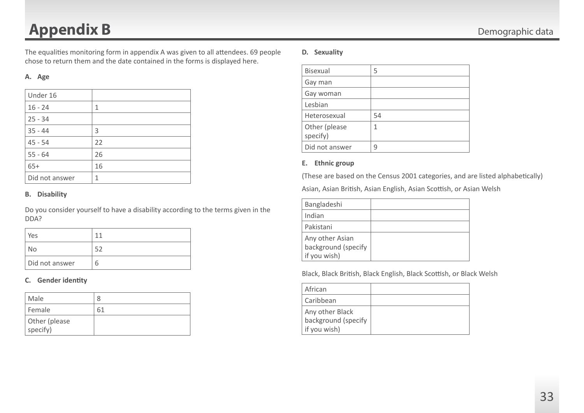# <span id="page-32-0"></span>**Appendix B** Demographic data

The equalities monitoring form in appendix A was given to all attendees. 69 people chose to return them and the date contained in the forms is displayed here.

#### **A. Age**

| Under 16       |    |
|----------------|----|
| $16 - 24$      | 1  |
| $25 - 34$      |    |
| $35 - 44$      | 3  |
| $45 - 54$      | 22 |
| $55 - 64$      | 26 |
| $65+$          | 16 |
| Did not answer | 1  |

### **B. Disability**

Do you consider yourself to have a disability according to the terms given in the DDA?

| Yes            | -1 |
|----------------|----|
| <b>No</b>      |    |
| Did not answer | b  |

### **C. Gender identity**

| Male                      |    |
|---------------------------|----|
| Female                    | 61 |
| Other (please<br>specify) |    |

### **D. Sexuality**

| <b>Bisexual</b>           | 5  |
|---------------------------|----|
| Gay man                   |    |
| Gay woman                 |    |
| Lesbian                   |    |
| Heterosexual              | 54 |
| Other (please<br>specify) | 1  |
| Did not answer            | q  |

#### **E. Ethnic group**

(These are based on the Census 2001 categories, and are listed alphabetically)

Asian, Asian British, Asian English, Asian Scottish, or Asian Welsh

| Bangladeshi                                            |  |
|--------------------------------------------------------|--|
| Indian                                                 |  |
| Pakistani                                              |  |
| Any other Asian<br>background (specify<br>if you wish) |  |

Black, Black British, Black English, Black Scottish, or Black Welsh

| African                                                |  |
|--------------------------------------------------------|--|
| Caribbean                                              |  |
| Any other Black<br>background (specify<br>if you wish) |  |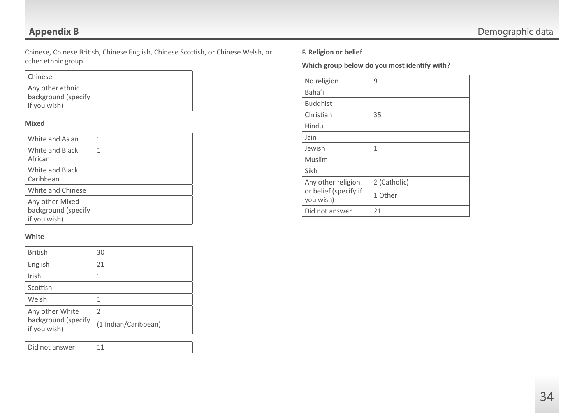Chinese, Chinese British, Chinese English, Chinese Scottish, or Chinese Welsh, or other ethnic group

| <b>Chinese</b>                                          |  |
|---------------------------------------------------------|--|
| Any other ethnic<br>background (specify<br>if you wish) |  |

#### **Mixed**

| White and Asian                                        | 1 |
|--------------------------------------------------------|---|
| White and Black<br>African                             | 1 |
| White and Black<br>Caribbean                           |   |
| White and Chinese                                      |   |
| Any other Mixed<br>background (specify<br>if you wish) |   |

#### **White**

| <b>British</b>                      | 30                   |
|-------------------------------------|----------------------|
| English                             | 21                   |
| Irish                               | 1                    |
| Scottish                            |                      |
| Welsh                               | 1                    |
| Any other White                     | $\overline{2}$       |
| background (specify<br>if you wish) | (1 Indian/Caribbean) |
|                                     |                      |

| Did not answer |
|----------------|
|----------------|

### **F. Religion or belief**

**Which group below do you most identify with?**

| No religion                        | 9            |
|------------------------------------|--------------|
| Baha'i                             |              |
| <b>Buddhist</b>                    |              |
| Christian                          | 35           |
| Hindu                              |              |
| Jain                               |              |
| Jewish                             | 1            |
| Muslim                             |              |
| Sikh                               |              |
| Any other religion                 | 2 (Catholic) |
| or belief (specify if<br>you wish) | 1 Other      |
| Did not answer                     | 21           |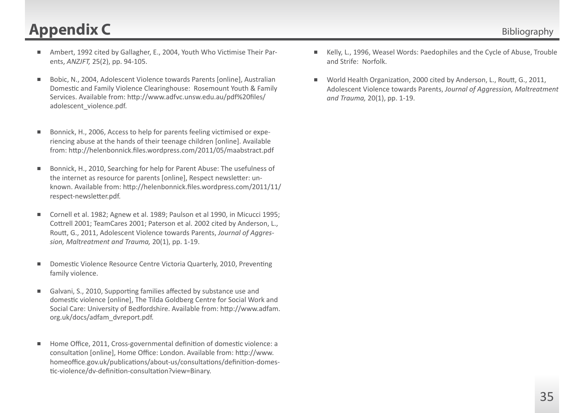# <span id="page-34-0"></span>**Appendix C** Bibliography

- Ambert, 1992 cited by Gallagher, E., 2004, Youth Who Victimise Their Parents, *ANZJFT,* 25(2), pp. 94-105.
- Bobic, N., 2004, Adolescent Violence towards Parents [online], Australian Domestic and Family Violence Clearinghouse: Rosemount Youth & Family Services. Available from: [http://www.adfvc.unsw.edu.au/pdf%20files/](http://www.adfvc.unsw.edu.au/pdf%20files/adolescent_violence.pdf) [adolescent\\_violence.pdf](http://www.adfvc.unsw.edu.au/pdf%20files/adolescent_violence.pdf).
- Bonnick, H., 2006, Access to help for parents feeling victimised or experiencing abuse at the hands of their teenage children [online]. Available from:<http://helenbonnick.files.wordpress.com/2011/05/maabstract.pdf>
- Bonnick, H., 2010, Searching for help for Parent Abuse: The usefulness of the internet as resource for parents [online], Respect newsletter: unknown. Available from: [http://helenbonnick.files.wordpress.com/2011/11/](http://helenbonnick.files.wordpress.com/2011/11/respect-newsletter.pdf) [respect-newsletter.pdf](http://helenbonnick.files.wordpress.com/2011/11/respect-newsletter.pdf).
- Cornell et al. 1982; Agnew et al. 1989; Paulson et al 1990, in Micucci 1995; Cottrell 2001; TeamCares 2001; Paterson et al. 2002 cited by Anderson, L., Routt, G., 2011, Adolescent Violence towards Parents, *Journal of Aggression, Maltreatment and Trauma,* 20(1), pp. 1-19.
- Domestic Violence Resource Centre Victoria Quarterly, 2010, Preventing family violence.
- Galvani, S., 2010, Supporting families affected by substance use and domestic violence [online], The Tilda Goldberg Centre for Social Work and Social Care: University of Bedfordshire. Available from: [http://www.adfam.](http://www.adfam.org.uk/docs/adfam_dvreport.pdf) [org.uk/docs/adfam\\_dvreport.pdf.](http://www.adfam.org.uk/docs/adfam_dvreport.pdf)
- Home Office, 2011, Cross-governmental definition of domestic violence: a consultation [online], Home Office: London. Available from: [http://www.](http://www.homeoffice.gov.uk/publications/about-us/consultations/definition-domestic-violence/dv-definition-consultation?view=Binary) [homeoffice.gov.uk/publications/about-us/consultations/definition-domes](http://www.homeoffice.gov.uk/publications/about-us/consultations/definition-domestic-violence/dv-definition-consultation?view=Binary)[tic-violence/dv-definition-consultation?view=Binary.](http://www.homeoffice.gov.uk/publications/about-us/consultations/definition-domestic-violence/dv-definition-consultation?view=Binary)
- Kelly, L., 1996, Weasel Words: Paedophiles and the Cycle of Abuse, Trouble and Strife: Norfolk.
- World Health Organization, 2000 cited by Anderson, L., Routt, G., 2011, Adolescent Violence towards Parents, *Journal of Aggression, Maltreatment and Trauma,* 20(1), pp. 1-19.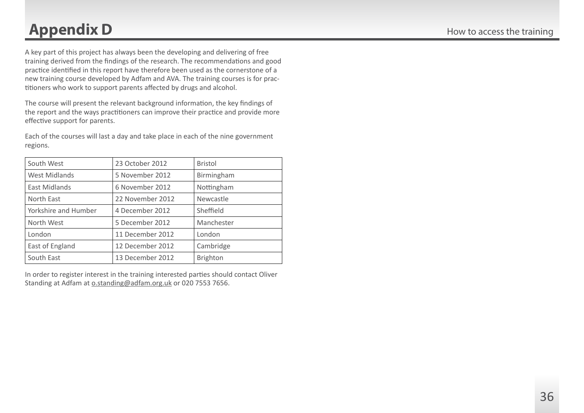# <span id="page-35-0"></span>**Appendix D** How to access the training

A key part of this project has always been the developing and delivering of free training derived from the findings of the research. The recommendations and good practice identified in this report have therefore been used as the cornerstone of a new training course developed by Adfam and AVA. The training courses is for practitioners who work to support parents affected by drugs and alcohol.

The course will present the relevant background information, the key findings of the report and the ways practitioners can improve their practice and provide more effective support for parents.

Each of the courses will last a day and take place in each of the nine government regions.

| South West           | 23 October 2012  | <b>Bristol</b>  |
|----------------------|------------------|-----------------|
| <b>West Midlands</b> | 5 November 2012  | Birmingham      |
| East Midlands        | 6 November 2012  | Nottingham      |
| North East           | 22 November 2012 | Newcastle       |
| Yorkshire and Humber | 4 December 2012  | Sheffield       |
| North West           | 5 December 2012  | Manchester      |
| London               | 11 December 2012 | London          |
| East of England      | 12 December 2012 | Cambridge       |
| South East           | 13 December 2012 | <b>Brighton</b> |

In order to register interest in the training interested parties should contact Oliver Standing at Adfam at [o.standing@adfam.org.uk](mailto:o.standing@adfam.org.uk) or 020 7553 7656.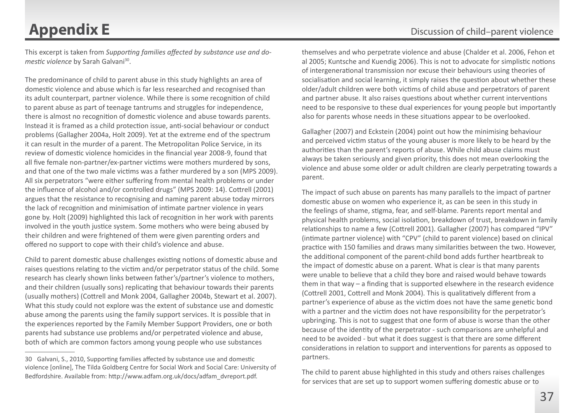<span id="page-36-0"></span>This excerpt is taken from *Supporting families affected by substance use and domestic violence* by Sarah Galvani<sup>30</sup>.

The predominance of child to parent abuse in this study highlights an area of domestic violence and abuse which is far less researched and recognised than its adult counterpart, partner violence. While there is some recognition of child to parent abuse as part of teenage tantrums and struggles for independence, there is almost no recognition of domestic violence and abuse towards parents. Instead it is framed as a child protection issue, anti-social behaviour or conduct problems (Gallagher 2004a, Holt 2009). Yet at the extreme end of the spectrum it can result in the murder of a parent. The Metropolitan Police Service, in its review of domestic violence homicides in the financial year 2008-9, found that all five female non-partner/ex-partner victims were mothers murdered by sons, and that one of the two male victims was a father murdered by a son (MPS 2009). All six perpetrators "were either suffering from mental health problems or under the influence of alcohol and/or controlled drugs" (MPS 2009: 14). Cottrell (2001) argues that the resistance to recognising and naming parent abuse today mirrors the lack of recognition and minimisation of intimate partner violence in years gone by. Holt (2009) highlighted this lack of recognition in her work with parents involved in the youth justice system. Some mothers who were being abused by their children and were frightened of them were given parenting orders and offered no support to cope with their child's violence and abuse.

Child to parent domestic abuse challenges existing notions of domestic abuse and raises questions relating to the victim and/or perpetrator status of the child. Some research has clearly shown links between father's/partner's violence to mothers, and their children (usually sons) replicating that behaviour towards their parents (usually mothers) (Cottrell and Monk 2004, Gallagher 2004b, Stewart et al. 2007). What this study could not explore was the extent of substance use and domestic abuse among the parents using the family support services. It is possible that in the experiences reported by the Family Member Support Providers, one or both parents had substance use problems and/or perpetrated violence and abuse, both of which are common factors among young people who use substances

themselves and who perpetrate violence and abuse (Chalder et al. 2006, Fehon et al 2005; Kuntsche and Kuendig 2006). This is not to advocate for simplistic notions of intergenerational transmission nor excuse their behaviours using theories of socialisation and social learning, it simply raises the question about whether these older/adult children were both victims of child abuse and perpetrators of parent and partner abuse. It also raises questions about whether current interventions need to be responsive to these dual experiences for young people but importantly also for parents whose needs in these situations appear to be overlooked.

Gallagher (2007) and Eckstein (2004) point out how the minimising behaviour and perceived victim status of the young abuser is more likely to be heard by the authorities than the parent's reports of abuse. While child abuse claims must always be taken seriously and given priority, this does not mean overlooking the violence and abuse some older or adult children are clearly perpetrating towards a parent.

The impact of such abuse on parents has many parallels to the impact of partner domestic abuse on women who experience it, as can be seen in this study in the feelings of shame, stigma, fear, and self-blame. Parents report mental and physical health problems, social isolation, breakdown of trust, breakdown in family relationships to name a few (Cottrell 2001). Gallagher (2007) has compared "IPV" (intimate partner violence) with "CPV" (child to parent violence) based on clinical practice with 150 families and draws many similarities between the two. However, the additional component of the parent-child bond adds further heartbreak to the impact of domestic abuse on a parent. What is clear is that many parents were unable to believe that a child they bore and raised would behave towards them in that way – a finding that is supported elsewhere in the research evidence (Cottrell 2001, Cottrell and Monk 2004). This is qualitatively different from a partner's experience of abuse as the victim does not have the same genetic bond with a partner and the victim does not have responsibility for the perpetrator's upbringing. This is not to suggest that one form of abuse is worse than the other because of the identity of the perpetrator - such comparisons are unhelpful and need to be avoided - but what it does suggest is that there are some different considerations in relation to support and interventions for parents as opposed to partners.

The child to parent abuse highlighted in this study and others raises challenges for services that are set up to support women suffering domestic abuse or to

<sup>30</sup> Galvani, S., 2010, Supporting families affected by substance use and domestic violence [online], The Tilda Goldberg Centre for Social Work and Social Care: University of Bedfordshire. Available from: [http://www.adfam.org.uk/docs/adfam\\_dvreport.pdf.](http://www.adfam.org.uk/docs/adfam_dvreport.pdf)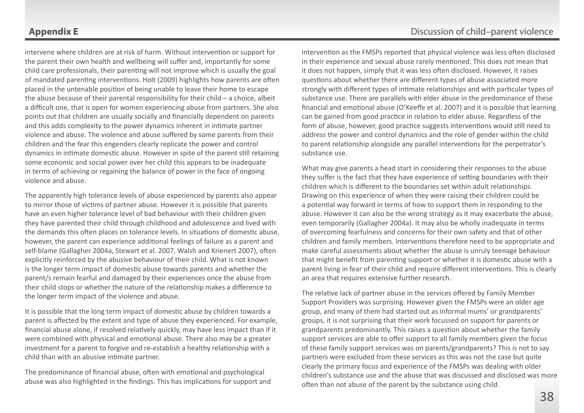intervene where children are at risk of harm. Without intervention or support for the parent their own health and wellbeing will suffer and, importantly for some child care professionals, their parenting will not improve which is usually the goal of mandated parenting interventions. Holt (2009) highlights how parents are often placed in the untenable position of being unable to leave their home to escape the abuse because of their parental responsibility for their child – a choice, albeit a difficult one, that is open for women experiencing abuse from partners. She also points out that children are usually socially and financially dependent on parents and this adds complexity to the power dynamics inherent in intimate partner violence and abuse. The violence and abuse suffered by some parents from their children and the fear this engenders clearly replicate the power and control dynamics in intimate domestic abuse. However in spite of the parent still retaining some economic and social power over her child this appears to be inadequate in terms of achieving or regaining the balance of power in the face of ongoing violence and abuse.

The apparently high tolerance levels of abuse experienced by parents also appear to mirror those of victims of partner abuse. However it is possible that parents have an even higher tolerance level of bad behaviour with their children given they have parented their child through childhood and adolescence and lived with the demands this often places on tolerance levels. In situations of domestic abuse, however, the parent can experience additional feelings of failure as a parent and self-blame (Gallagher 2004a, Stewart et al. 2007, Walsh and Krienert 2007), often explicitly reinforced by the abusive behaviour of their child. What is not known is the longer term impact of domestic abuse towards parents and whether the parent/s remain fearful and damaged by their experiences once the abuse from their child stops or whether the nature of the relationship makes a difference to the longer term impact of the violence and abuse.

It is possible that the long term impact of domestic abuse by children towards a parent is affected by the extent and type of abuse they experienced. For example, financial abuse alone, if resolved relatively quickly, may have less impact than if it were combined with physical and emotional abuse. There also may be a greater investment for a parent to forgive and re-establish a healthy relationship with a child than with an abusive intimate partner.

The predominance of financial abuse, often with emotional and psychological abuse was also highlighted in the findings. This has implications for support and intervention as the FMSPs reported that physical violence was less often disclosed in their experience and sexual abuse rarely mentioned. This does not mean that it does not happen, simply that it was less often disclosed. However, it raises questions about whether there are different types of abuse associated more strongly with different types of intimate relationships and with particular types of substance use. There are parallels with elder abuse in the predominance of these financial and emotional abuse (O'Keeffe et al. 2007) and it is possible that learning can be gained from good practice in relation to elder abuse. Regardless of the form of abuse, however, good practice suggests interventions would still need to address the power and control dynamics and the role of gender within the child to parent relationship alongside any parallel interventions for the perpetrator's substance use.

What may give parents a head start in considering their responses to the abuse they suffer is the fact that they have experience of setting boundaries with their children which is different to the boundaries set within adult relationships. Drawing on this experience of when they were raising their children could be a potential way forward in terms of how to support them in responding to the abuse. However it can also be the wrong strategy as it may exacerbate the abuse, even temporarily (Gallagher 2004a). It may also be wholly inadequate in terms of overcoming fearfulness and concerns for their own safety and that of other children and family members. Interventions therefore need to be appropriate and make careful assessments about whether the abuse is unruly teenage behaviour that might benefit from parenting support or whether it is domestic abuse with a parent living in fear of their child and require different interventions. This is clearly an area that requires extensive further research.

The relative lack of partner abuse in the services offered by Family Member Support Providers was surprising. However given the FMSPs were an older age group, and many of them had started out as informal mums' or grandparents' groups, it is not surprising that their work focussed on support for parents or grandparents predominantly. This raises a question about whether the family support services are able to offer support to all family members given the focus of these family support services was on parents/grandparents? This is not to say partners were excluded from these services as this was not the case but quite clearly the primary focus and experience of the FMSPs was dealing with older children's substance use and the abuse that was discussed and disclosed was more often than not abuse of the parent by the substance using child.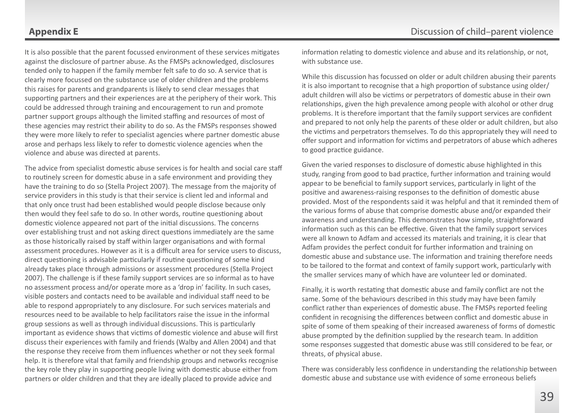It is also possible that the parent focussed environment of these services mitigates against the disclosure of partner abuse. As the FMSPs acknowledged, disclosures tended only to happen if the family member felt safe to do so. A service that is clearly more focussed on the substance use of older children and the problems this raises for parents and grandparents is likely to send clear messages that supporting partners and their experiences are at the periphery of their work. This could be addressed through training and encouragement to run and promote partner support groups although the limited staffing and resources of most of these agencies may restrict their ability to do so. As the FMSPs responses showed they were more likely to refer to specialist agencies where partner domestic abuse arose and perhaps less likely to refer to domestic violence agencies when the violence and abuse was directed at parents.

The advice from specialist domestic abuse services is for health and social care staff to routinely screen for domestic abuse in a safe environment and providing they have the training to do so (Stella Project 2007). The message from the majority of service providers in this study is that their service is client led and informal and that only once trust had been established would people disclose because only then would they feel safe to do so. In other words, routine questioning about domestic violence appeared not part of the initial discussions. The concerns over establishing trust and not asking direct questions immediately are the same as those historically raised by staff within larger organisations and with formal assessment procedures. However as it is a difficult area for service users to discuss, direct questioning is advisable particularly if routine questioning of some kind already takes place through admissions or assessment procedures (Stella Project 2007). The challenge is if these family support services are so informal as to have no assessment process and/or operate more as a 'drop in' facility. In such cases, visible posters and contacts need to be available and individual staff need to be able to respond appropriately to any disclosure. For such services materials and resources need to be available to help facilitators raise the issue in the informal group sessions as well as through individual discussions. This is particularly important as evidence shows that victims of domestic violence and abuse will first discuss their experiences with family and friends (Walby and Allen 2004) and that the response they receive from them influences whether or not they seek formal help. It is therefore vital that family and friendship groups and networks recognise the key role they play in supporting people living with domestic abuse either from partners or older children and that they are ideally placed to provide advice and

information relating to domestic violence and abuse and its relationship, or not, with substance use.

While this discussion has focussed on older or adult children abusing their parents it is also important to recognise that a high proportion of substance using older/ adult children will also be victims or perpetrators of domestic abuse in their own relationships, given the high prevalence among people with alcohol or other drug problems. It is therefore important that the family support services are confident and prepared to not only help the parents of these older or adult children, but also the victims and perpetrators themselves. To do this appropriately they will need to offer support and information for victims and perpetrators of abuse which adheres to good practice guidance.

Given the varied responses to disclosure of domestic abuse highlighted in this study, ranging from good to bad practice, further information and training would appear to be beneficial to family support services, particularly in light of the positive and awareness-raising responses to the definition of domestic abuse provided. Most of the respondents said it was helpful and that it reminded them of the various forms of abuse that comprise domestic abuse and/or expanded their awareness and understanding. This demonstrates how simple, straightforward information such as this can be effective. Given that the family support services were all known to Adfam and accessed its materials and training, it is clear that Adfam provides the perfect conduit for further information and training on domestic abuse and substance use. The information and training therefore needs to be tailored to the format and context of family support work, particularly with the smaller services many of which have are volunteer led or dominated.

Finally, it is worth restating that domestic abuse and family conflict are not the same. Some of the behaviours described in this study may have been family conflict rather than experiences of domestic abuse. The FMSPs reported feeling confident in recognising the differences between conflict and domestic abuse in spite of some of them speaking of their increased awareness of forms of domestic abuse prompted by the definition supplied by the research team. In addition some responses suggested that domestic abuse was still considered to be fear, or threats, of physical abuse.

There was considerably less confidence in understanding the relationship between domestic abuse and substance use with evidence of some erroneous beliefs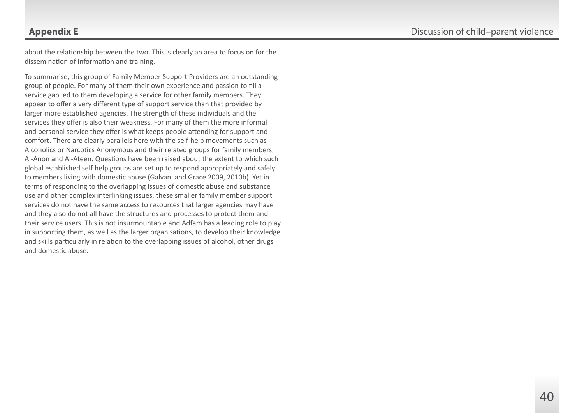about the relationship between the two. This is clearly an area to focus on for the dissemination of information and training.

To summarise, this group of Family Member Support Providers are an outstanding group of people. For many of them their own experience and passion to fill a service gap led to them developing a service for other family members. They appear to offer a very different type of support service than that provided by larger more established agencies. The strength of these individuals and the services they offer is also their weakness. For many of them the more informal and personal service they offer is what keeps people attending for support and comfort. There are clearly parallels here with the self-help movements such as Alcoholics or Narcotics Anonymous and their related groups for family members, Al-Anon and Al-Ateen. Questions have been raised about the extent to which such global established self help groups are set up to respond appropriately and safely to members living with domestic abuse (Galvani and Grace 2009, 2010b). Yet in terms of responding to the overlapping issues of domestic abuse and substance use and other complex interlinking issues, these smaller family member support services do not have the same access to resources that larger agencies may have and they also do not all have the structures and processes to protect them and their service users. This is not insurmountable and Adfam has a leading role to play in supporting them, as well as the larger organisations, to develop their knowledge and skills particularly in relation to the overlapping issues of alcohol, other drugs and domestic abuse.